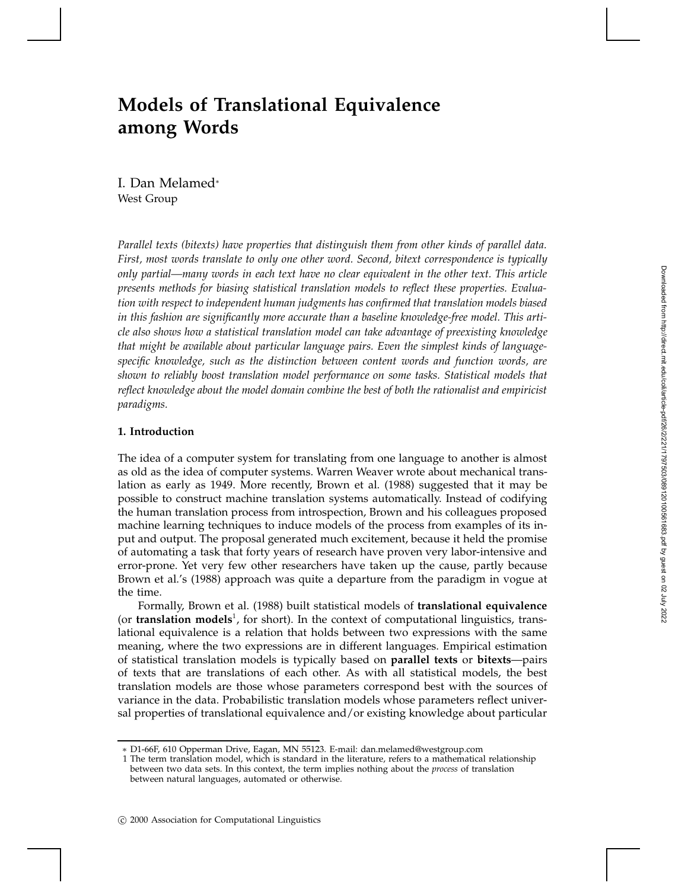# **Models of Translational Equivalence among Words**

I. Dan Melamed West Group

*Parallel texts (bitexts) have properties that distinguish them from other kinds of parallel data. First, most words translate to only one other word. Second, bitext correspondence is typically only partial—many words in each text have no clear equivalent in the other text. This article presents methods for biasing statistical translation models to reflect these properties. Evaluation with respect to independent human judgments has confirmed that translation models biased in this fashion are significantly more accurate than a baseline knowledge-free model. This article also shows how a statistical translation model can take advantage of preexisting knowledge that might be available about particular language pairs. Even the simplest kinds of languagespecific knowledge, such as the distinction between content words and function words, are shown to reliably boost translation model performance on some tasks. Statistical models that reflect knowledge about the model domain combine the best of both the rationalist and empiricist paradigms.*

## **1. Introduction**

The idea of a computer system for translating from one language to another is almost as old as the idea of computer systems. Warren Weaver wrote about mechanical translation as early as 1949. More recently, Brown et al. (1988) suggested that it may be possible to construct machine translation systems automatically. Instead of codifying the human translation process from introspection, Brown and his colleagues proposed machine learning techniques to induce models of the process from examples of its input and output. The proposal generated much excitement, because it held the promise of automating a task that forty years of research have proven very labor-intensive and error-prone. Yet very few other researchers have taken up the cause, partly because Brown et al.'s (1988) approach was quite a departure from the paradigm in vogue at the time.

Formally, Brown et al. (1988) built statistical models of **translational equivalence** (or **translation models**<sup>1</sup>, for short). In the context of computational linguistics, translational equivalence is a relation that holds between two expressions with the same meaning, where the two expressions are in different languages. Empirical estimation of statistical translation models is typically based on **parallel texts** or **bitexts**—pairs of texts that are translations of each other. As with all statistical models, the best translation models are those whose parameters correspond best with the sources of variance in the data. Probabilistic translation models whose parameters reflect universal properties of translational equivalence and/or existing knowledge about particular

D1-66F, 610 Opperman Drive, Eagan, MN 55123. E-mail: dan.melamed@westgroup.com

<sup>1</sup> The term translation model, which is standard in the literature, refers to a mathematical relationship between two data sets. In this context, the term implies nothing about the *process* of translation between natural languages, automated or otherwise.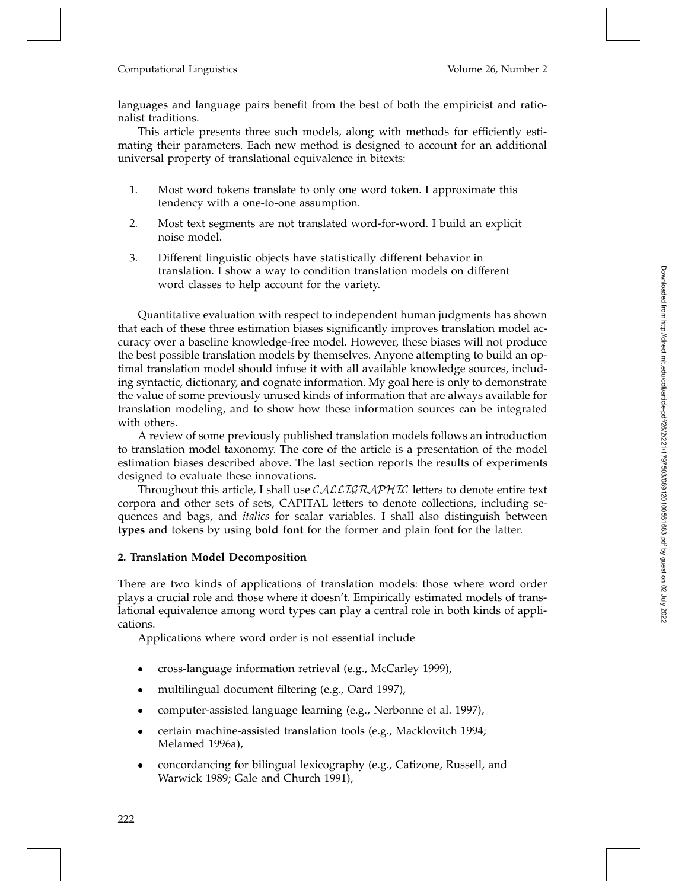languages and language pairs benefit from the best of both the empiricist and rationalist traditions.

This article presents three such models, along with methods for efficiently estimating their parameters. Each new method is designed to account for an additional universal property of translational equivalence in bitexts:

- 1. Most word tokens translate to only one word token. I approximate this tendency with a one-to-one assumption.
- 2. Most text segments are not translated word-for-word. I build an explicit noise model.
- 3. Different linguistic objects have statistically different behavior in translation. I show a way to condition translation models on different word classes to help account for the variety.

Quantitative evaluation with respect to independent human judgments has shown that each of these three estimation biases significantly improves translation model accuracy over a baseline knowledge-free model. However, these biases will not produce the best possible translation models by themselves. Anyone attempting to build an optimal translation model should infuse it with all available knowledge sources, including syntactic, dictionary, and cognate information. My goal here is only to demonstrate the value of some previously unused kinds of information that are always available for translation modeling, and to show how these information sources can be integrated with others.

A review of some previously published translation models follows an introduction to translation model taxonomy. The core of the article is a presentation of the model estimation biases described above. The last section reports the results of experiments designed to evaluate these innovations.

Throughout this article, I shall use  $\mathcal{CALLIGRAPHIC}$  letters to denote entire text corpora and other sets of sets, CAPITAL letters to denote collections, including sequences and bags, and *italics* for scalar variables. I shall also distinguish between **types** and tokens by using **bold font** for the former and plain font for the latter.

# **2. Translation Model Decomposition**

There are two kinds of applications of translation models: those where word order plays a crucial role and those where it doesn't. Empirically estimated models of translational equivalence among word types can play a central role in both kinds of applications.

Applications where word order is not essential include

- cross-language information retrieval (e.g., McCarley 1999),
- multilingual document filtering (e.g., Oard 1997),
- computer-assisted language learning (e.g., Nerbonne et al. 1997),
- certain machine-assisted translation tools (e.g., Macklovitch 1994; Melamed 1996a),
- concordancing for bilingual lexicography (e.g., Catizone, Russell, and Warwick 1989; Gale and Church 1991),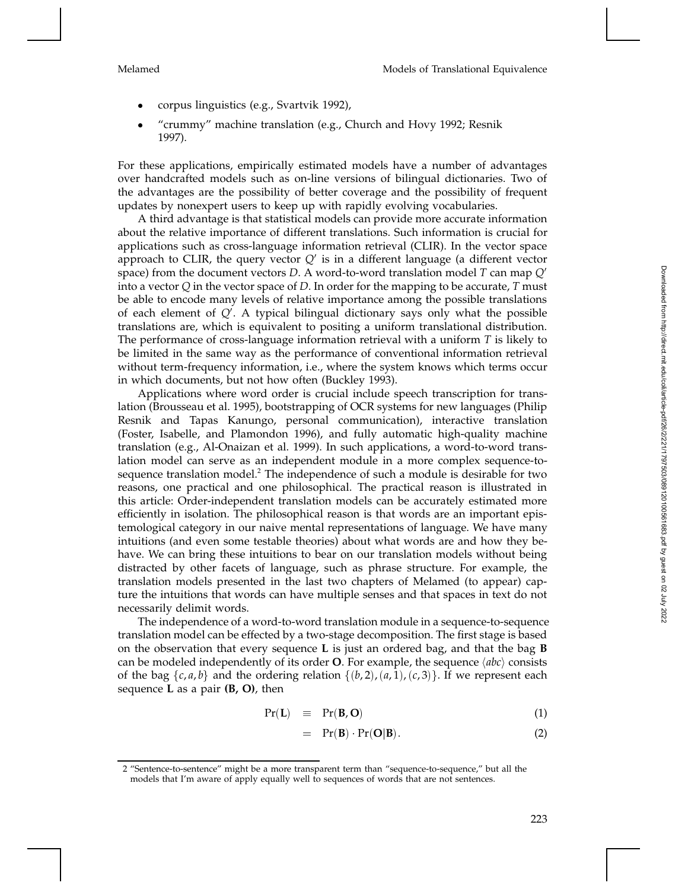- corpus linguistics (e.g., Svartvik 1992),
- "crummy" machine translation (e.g., Church and Hovy 1992; Resnik 1997).

For these applications, empirically estimated models have a number of advantages over handcrafted models such as on-line versions of bilingual dictionaries. Two of the advantages are the possibility of better coverage and the possibility of frequent updates by nonexpert users to keep up with rapidly evolving vocabularies.

A third advantage is that statistical models can provide more accurate information about the relative importance of different translations. Such information is crucial for applications such as cross-language information retrieval (CLIR). In the vector space approach to CLIR, the query vector *Q*<sup>0</sup> is in a different language (a different vector space) from the document vectors *D*. A word-to-word translation model *T* can map  $Q'$ into a vector *Q* in the vector space of *D*. In order for the mapping to be accurate, *T* must be able to encode many levels of relative importance among the possible translations of each element of *Q*<sup>0</sup> . A typical bilingual dictionary says only what the possible translations are, which is equivalent to positing a uniform translational distribution. The performance of cross-language information retrieval with a uniform *T* is likely to be limited in the same way as the performance of conventional information retrieval without term-frequency information, i.e., where the system knows which terms occur in which documents, but not how often (Buckley 1993).

Applications where word order is crucial include speech transcription for translation (Brousseau et al. 1995), bootstrapping of OCR systems for new languages (Philip Resnik and Tapas Kanungo, personal communication), interactive translation (Foster, Isabelle, and Plamondon 1996), and fully automatic high-quality machine translation (e.g., Al-Onaizan et al. 1999). In such applications, a word-to-word translation model can serve as an independent module in a more complex sequence-tosequence translation model.<sup>2</sup> The independence of such a module is desirable for two reasons, one practical and one philosophical. The practical reason is illustrated in this article: Order-independent translation models can be accurately estimated more efficiently in isolation. The philosophical reason is that words are an important epistemological category in our naive mental representations of language. We have many intuitions (and even some testable theories) about what words are and how they behave. We can bring these intuitions to bear on our translation models without being distracted by other facets of language, such as phrase structure. For example, the translation models presented in the last two chapters of Melamed (to appear) capture the intuitions that words can have multiple senses and that spaces in text do not necessarily delimit words.

The independence of a word-to-word translation module in a sequence-to-sequence translation model can be effected by a two-stage decomposition. The first stage is based on the observation that every sequence **L** is just an ordered bag, and that the bag **B** can be modeled independently of its order **O**. For example, the sequence  $\langle abc \rangle$  consists of the bag  $\{c, a, b\}$  and the ordering relation  $\{(b, 2), (a, 1), (c, 3)\}$ . If we represent each sequence **L** as a pair **(B, O)**, then

$$
Pr(\mathbf{L}) \equiv Pr(\mathbf{B}, \mathbf{O}) \tag{1}
$$

$$
= \Pr(\mathbf{B}) \cdot \Pr(\mathbf{O}|\mathbf{B}). \tag{2}
$$

<sup>2 &</sup>quot;Sentence-to-sentence" might be a more transparent term than "sequence-to-sequence," but all the models that I'm aware of apply equally well to sequences of words that are not sentences.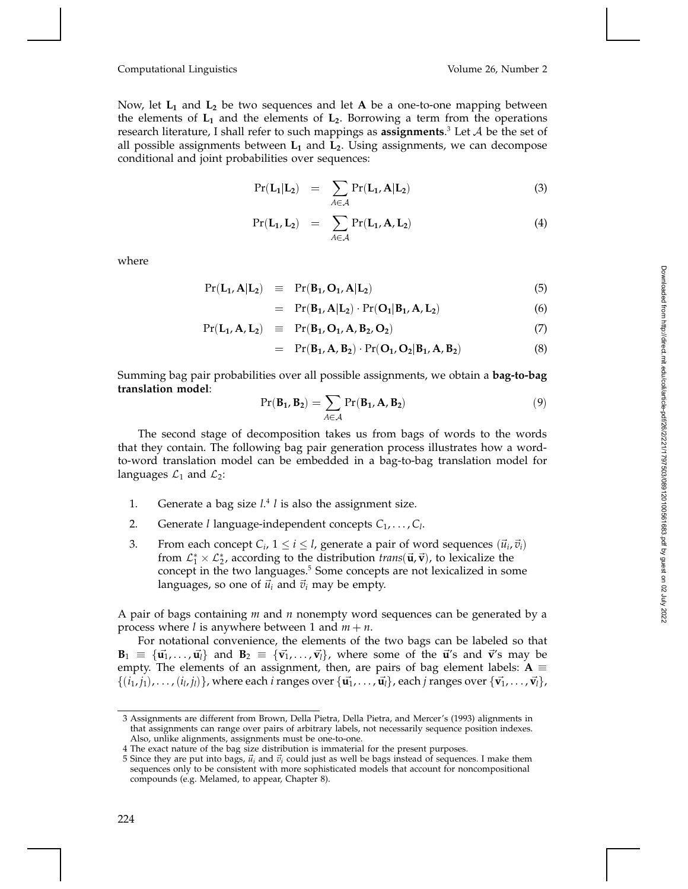Now, let **L <sup>1</sup>** and **L <sup>2</sup>** be two sequences and let **A** be a one-to-one mapping between the elements of **L <sup>1</sup>** and the elements of **L <sup>2</sup>**. Borrowing a term from the operations research literature, I shall refer to such mappings as **assignments** . <sup>3</sup> Let <sup>A</sup> be the set of all possible assignments between **L <sup>1</sup>** and **L <sup>2</sup>**. Using assignments, we can decompose conditional and joint probabilities over sequences:

$$
Pr(\mathbf{L_1}|\mathbf{L_2}) = \sum_{A \in \mathcal{A}} Pr(\mathbf{L_1}, \mathbf{A}|\mathbf{L_2})
$$
 (3)

$$
Pr(\mathbf{L_1}, \mathbf{L_2}) = \sum_{A \in \mathcal{A}} Pr(\mathbf{L_1}, \mathbf{A}, \mathbf{L_2})
$$
\n(4)

where

$$
Pr(\mathbf{L}_1, \mathbf{A} | \mathbf{L}_2) \equiv Pr(\mathbf{B}_1, \mathbf{O}_1, \mathbf{A} | \mathbf{L}_2) \tag{5}
$$

$$
= \Pr(\mathbf{B}_1, \mathbf{A} | \mathbf{L}_2) \cdot \Pr(\mathbf{O}_1 | \mathbf{B}_1, \mathbf{A}, \mathbf{L}_2) \tag{6}
$$

$$
Pr(\mathbf{L}_1, \mathbf{A}, \mathbf{L}_2) \equiv Pr(\mathbf{B}_1, \mathbf{O}_1, \mathbf{A}, \mathbf{B}_2, \mathbf{O}_2) \tag{7}
$$

$$
= \Pr(B_1, A, B_2) \cdot \Pr(O_1, O_2 | B_1, A, B_2)
$$
 (8)

Summing bag pair probabilities over all possible assignments, we obtain a **bag-to-bag translation model** :

$$
Pr(\mathbf{B_1}, \mathbf{B_2}) = \sum_{A \in \mathcal{A}} Pr(\mathbf{B_1}, \mathbf{A}, \mathbf{B_2})
$$
\n(9)

The second stage of decomposition takes us from bags of words to the words that they contain. The following bag pair generation process illustrates how a wordto-word translation model can be embedded in a bag-to-bag translation model for languages  $\mathcal{L}_1$  and  $\mathcal{L}_2$ :

- 1. Generate a bag size *l* . 4 *l* is also the assignment size.
- 2. Generate *l* language-independent concepts  $C_1$ , ...,  $C_l$ .
- 3. From each concept  $C_i$ ,  $1 \leq i \leq l$ , generate a pair of word sequences  $(\vec{u}_i, \vec{v}_i)$  $\overline{\phantom{a}}$ from  $\mathcal{L}_1^* \times \mathcal{L}_2^*$ , according to the distribution *trans*( $\vec{u}, \vec{v}$ ), to lexicalize the concept in the two languages. <sup>5</sup> Some concepts are not lexicalized in some languages, so one of  $\vec{u}_i$  and  $\vec{v}_i$  may be empty.

A pair of bags containing *m* and *n* nonempty word sequences can be generated by a process where *l* is anywhere between 1 and  $m + n$ .

For notational convenience, the elements of the two bags can be labeled so that  $\mathbf{B}_1 \equiv \{\vec{\mathbf{u}}_1^1, \ldots, \vec{\mathbf{u}}_l\}$  and  $\mathbf{B}_2 \equiv \{\vec{\mathbf{v}}_1^1, \ldots, \vec{\mathbf{v}}_l\}$ , where some of the  $\vec{\mathbf{u}}$ 's and  $\vec{\mathbf{v}}$ 's may be empty. The elements of an assignment, then, are pairs of bag element labels: **A**  $\{(i_1, j_1), \ldots, (i_l, j_l)\}$ , where each *i* ranges over  $\{\vec{u_1}, \ldots, \vec{u_l}\}$ , each *j* ranges over  $\{\vec{v_1}, \ldots, \vec{v_l}\}$ ,  $\overline{a}$ 

<sup>3</sup> Assignments are different from Brown, Della Pietra, Della Pietra, and Mercer's (1993) alignments in that assignments can range over pairs of arbitrary labels, not necessarily sequence position indexes. Also, unlike alignments, assignments must be one-to-one.

<sup>4</sup> The exact nature of the bag size distribution is immaterial for the present purposes.

<sup>5</sup> Since they are put into bags,  $\vec{u}_i$  and  $\vec{v}_i$  could just as well be bags instead of sequences. I make them sequences only to be consistent with more sophisticated models that account for noncompositional compounds (e.g. Melamed, to appear, Chapter 8).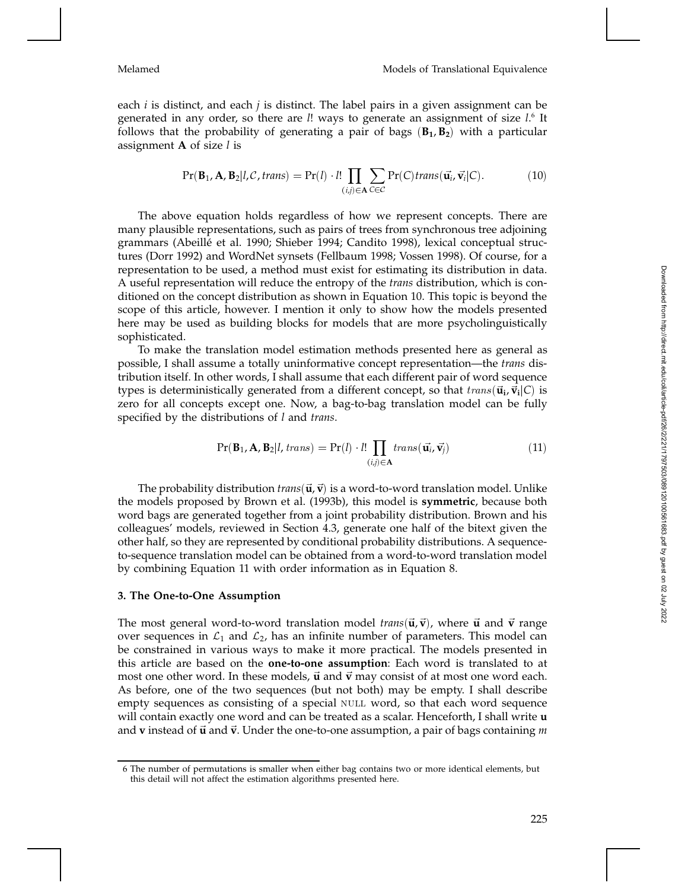each *i* is distinct, and each *j* is distinct. The label pairs in a given assignment can be generated in any order, so there are *l*! ways to generate an assignment of size *l*.<sup>6</sup> It follows that the probability of generating a pair of bags  $(\mathbf{B}_1, \mathbf{B}_2)$  with a particular assignment **A** of size *l* is

$$
Pr(\mathbf{B}_1, \mathbf{A}, \mathbf{B}_2 | l, C, trans) = Pr(l) \cdot l! \prod_{(i,j) \in \mathbf{A}} \sum_{C \in C} Pr(C) trans(\vec{\mathbf{u}}_i, \vec{\mathbf{v}}_i | C).
$$
 (10)

The above equation holds regardless of how we represent concepts. There are many plausible representations, such as pairs of trees from synchronous tree adjoining grammars (Abeill´e et al. 1990; Shieber 1994; Candito 1998), lexical conceptual structures (Dorr 1992) and WordNet synsets (Fellbaum 1998; Vossen 1998). Of course, for a representation to be used, a method must exist for estimating its distribution in data. A useful representation will reduce the entropy of the *trans* distribution, which is conditioned on the concept distribution as shown in Equation 10. This topic is beyond the scope of this article, however. I mention it only to show how the models presented here may be used as building blocks for models that are more psycholinguistically sophisticated.

To make the translation model estimation methods presented here as general as possible, I shall assume a totally uninformative concept representation—the *trans* distribution itself. In other words, I shall assume that each different pair of word sequence types is deterministically generated from a different concept, so that  $trans(\vec{\bf u_i}, \vec{\bf v_i}|C)$  is zero for all concepts except one. Now, a bag-to-bag translation model can be fully specified by the distributions of *l* and *trans* .

$$
Pr(\mathbf{B}_1, \mathbf{A}, \mathbf{B}_2 | l, trans) = Pr(l) \cdot l! \prod_{(i,j) \in \mathbf{A}} trans(\vec{\mathbf{u}}_i, \vec{\mathbf{v}}_j)
$$
(11)

The probability distribution  $trans(\vec{\mathbf{u}},\vec{\mathbf{v}})$  is a word-to-word translation model. Unlike the models proposed by Brown et al. (1993b), this model is **symmetric**, because both word bags are generated together from a joint probability distribution. Brown and his colleagues' models, reviewed in Section 4.3, generate one half of the bitext given the other half, so they are represented by conditional probability distributions. A sequenceto-sequence translation model can be obtained from a word-to-word translation model by combining Equation 11 with order information as in Equation 8.

### **3. The One-to-One Assumption**

The most general word-to-word translation model trans( $\vec{u}, \vec{v}$ ), where  $\vec{u}$  and  $\vec{v}$  range over sequences in  $\mathcal{L}_1$  and  $\mathcal{L}_2$ , has an infinite number of parameters. This model can be constrained in various ways to make it more practical. The models presented in this article are based on the **one-to-one assumption**: Each word is translated to at most one other word. In these models,  $\vec{u}$  and  $\vec{v}$  may consist of at most one word each. As before, one of the two sequences (but not both) may be empty. I shall describe empty sequences as consisting of a special NULL word, so that each word sequence will contain exactly one word and can be treated as a scalar. Henceforth, I shall write **u** and **v** instead of **ū** and **v**. Under the one-to-one assumption, a pair of bags containing m

<sup>6</sup> The number of permutations is smaller when either bag contains two or more identical elements, but this detail will not affect the estimation algorithms presented here.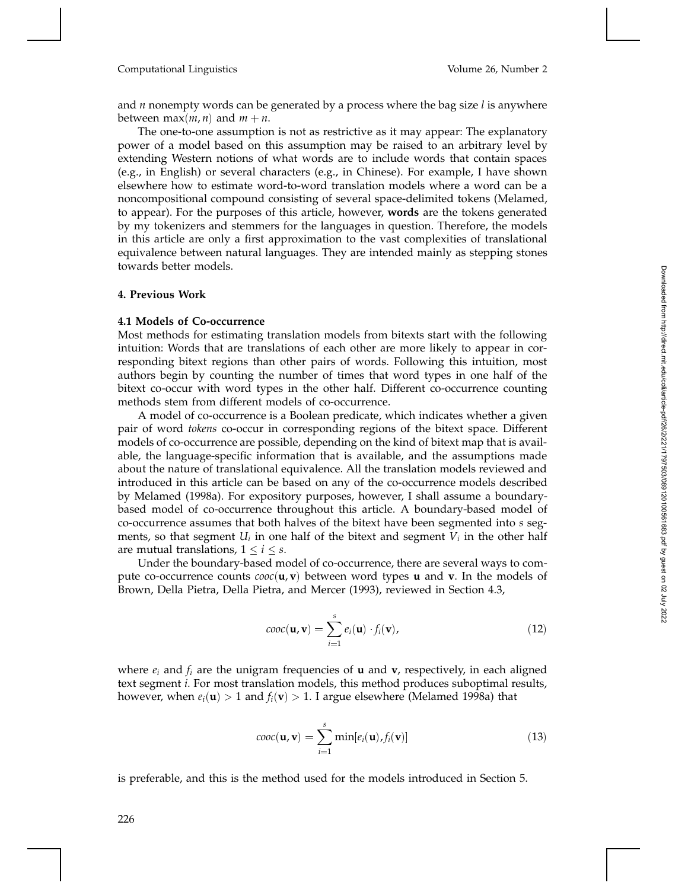and *n* nonempty words can be generated by a process where the bag size *l* is anywhere between max $(m, n)$  and  $m + n$ .

The one-to-one assumption is not as restrictive as it may appear: The explanatory power of a model based on this assumption may be raised to an arbitrary level by extending Western notions of what words are to include words that contain spaces (e.g., in English) or several characters (e.g., in Chinese). For example, I have shown elsewhere how to estimate word-to-word translation models where a word can be a noncompositional compound consisting of several space-delimited tokens (Melamed, to appear). For the purposes of this article, however, **words** are the tokens generated by my tokenizers and stemmers for the languages in question. Therefore, the models in this article are only a first approximation to the vast complexities of translational equivalence between natural languages. They are intended mainly as stepping stones towards better models.

### **4. Previous Work**

# **4.1 Models of Co-occurrence**

Most methods for estimating translation models from bitexts start with the following intuition: Words that are translations of each other are more likely to appear in corresponding bitext regions than other pairs of words. Following this intuition, most authors begin by counting the number of times that word types in one half of the bitext co-occur with word types in the other half. Different co-occurrence counting methods stem from different models of co-occurrence.

A model of co-occurrence is a Boolean predicate, which indicates whether a given pair of word *tokens* co-occur in corresponding regions of the bitext space. Different models of co-occurrence are possible, depending on the kind of bitext map that is available, the language-specific information that is available, and the assumptions made about the nature of translational equivalence. All the translation models reviewed and introduced in this article can be based on any of the co-occurrence models described by Melamed (1998a). For expository purposes, however, I shall assume a boundarybased model of co-occurrence throughout this article. A boundary-based model of co-occurrence assumes that both halves of the bitext have been segmented into *s* segments, so that segment  $U_i$  in one half of the bitext and segment  $V_i$  in the other half are mutual translations,  $1 \le i \le s$ .

Under the boundary-based model of co-occurrence, there are several ways to compute co-occurrence counts *cooc*(**u**, **v**) between word types **u** and **v**. In the models of Brown, Della Pietra, Della Pietra, and Mercer (1993), reviewed in Section 4.3,

$$
cooc(\mathbf{u}, \mathbf{v}) = \sum_{i=1}^{s} e_i(\mathbf{u}) \cdot f_i(\mathbf{v}),
$$
\n(12)

where  $e_i$  and  $f_i$  are the unigram frequencies of **u** and **v**, respectively, in each aligned text segment *i*. For most translation models, this method produces suboptimal results, however, when  $e_i(\mathbf{u}) > 1$  and  $f_i(\mathbf{v}) > 1$ . I argue elsewhere (Melamed 1998a) that

$$
cooc(\mathbf{u}, \mathbf{v}) = \sum_{i=1}^{s} \min[e_i(\mathbf{u}), f_i(\mathbf{v})]
$$
(13)

is preferable, and this is the method used for the models introduced in Section 5.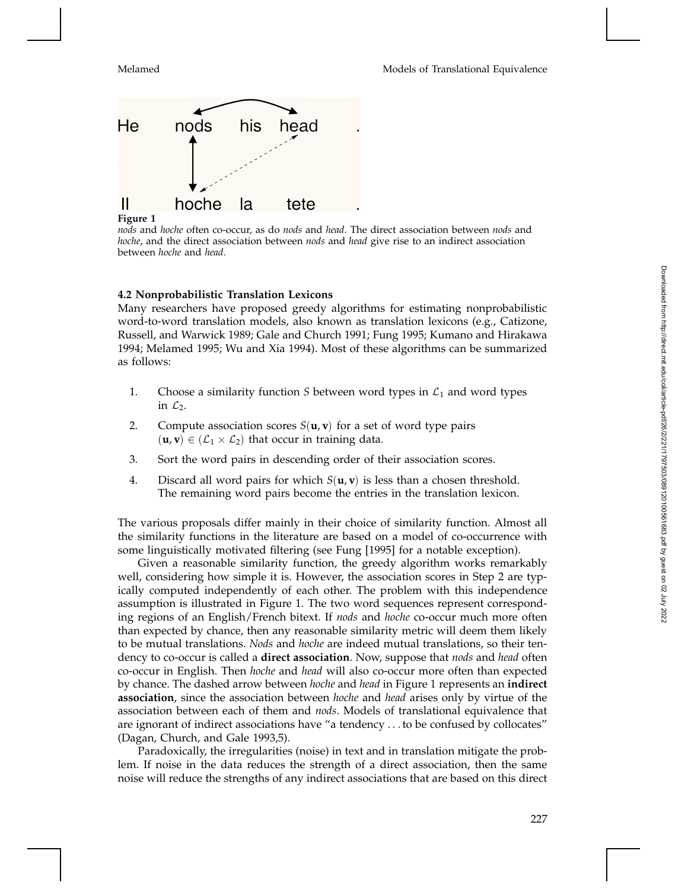

**Figure 1**

*nods* and *hoche* often co-occur, as do *nods* and *head*. The direct association between *nods* and *hoche*, and the direct association between *nods* and *head* give rise to an indirect association between *hoche* and *head*.

### **4.2 Nonprobabilistic Translation Lexicons**

Many researchers have proposed greedy algorithms for estimating nonprobabilistic word-to-word translation models, also known as translation lexicons (e.g., Catizone, Russell, and Warwick 1989; Gale and Church 1991; Fung 1995; Kumano and Hirakawa 1994; Melamed 1995; Wu and Xia 1994). Most of these algorithms can be summarized as follows:

- 1. Choose a similarity function *S* between word types in  $\mathcal{L}_1$  and word types in  $\mathcal{L}_2$ .
- 2. Compute association scores  $S(\mathbf{u}, \mathbf{v})$  for a set of word type pairs  $(\mathbf{u}, \mathbf{v}) \in (\mathcal{L}_1 \times \mathcal{L}_2)$  that occur in training data.
- 3. Sort the word pairs in descending order of their association scores.
- 4. Discard all word pairs for which *S*(**u**, **v**) is less than a chosen threshold. The remaining word pairs become the entries in the translation lexicon.

The various proposals differ mainly in their choice of similarity function. Almost all the similarity functions in the literature are based on a model of co-occurrence with some linguistically motivated filtering (see Fung [1995] for a notable exception).

Given a reasonable similarity function, the greedy algorithm works remarkably well, considering how simple it is. However, the association scores in Step 2 are typically computed independently of each other. The problem with this independence assumption is illustrated in Figure 1. The two word sequences represent corresponding regions of an English/French bitext. If *nods* and *hoche* co-occur much more often than expected by chance, then any reasonable similarity metric will deem them likely to be mutual translations. *Nods* and *hoche* are indeed mutual translations, so their tendency to co-occur is called a **direct association**. Now, suppose that *nods* and *head* often co-occur in English. Then *hoche* and *head* will also co-occur more often than expected by chance. The dashed arrow between *hoche* and *head* in Figure 1 represents an **indirect association**, since the association between *hoche* and *head* arises only by virtue of the association between each of them and *nods*. Models of translational equivalence that are ignorant of indirect associations have "a tendency ... to be confused by collocates" (Dagan, Church, and Gale 1993,5).

Paradoxically, the irregularities (noise) in text and in translation mitigate the problem. If noise in the data reduces the strength of a direct association, then the same noise will reduce the strengths of any indirect associations that are based on this direct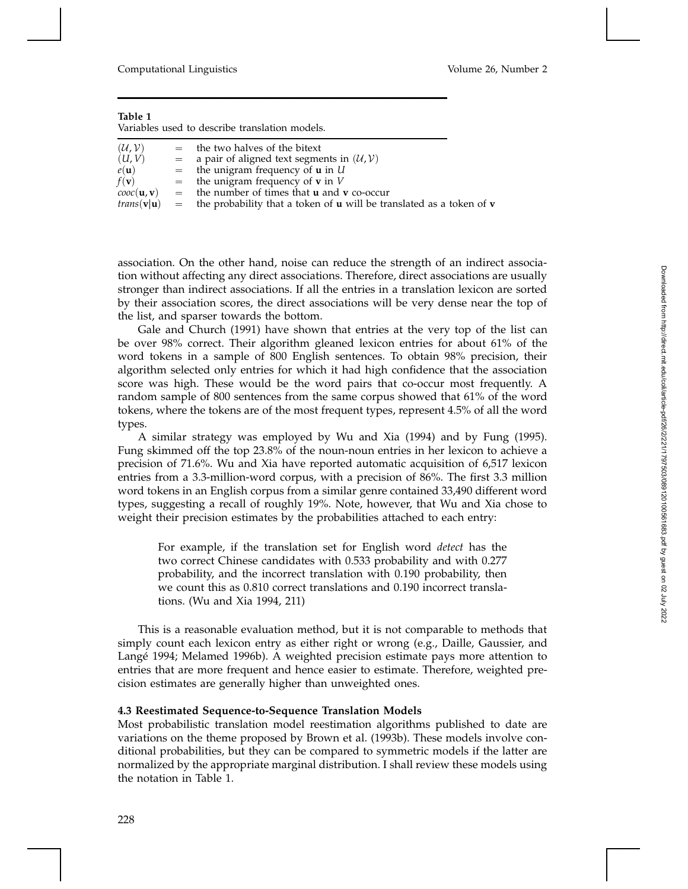#### **Table 1**

| Variables used to describe translation models. |  |
|------------------------------------------------|--|
|------------------------------------------------|--|

| $(\mathcal{U}, \mathcal{V})$   | $=$ the two halves of the bitext                                                       |
|--------------------------------|----------------------------------------------------------------------------------------|
| (U, V)                         | $=$ a pair of aligned text segments in $(\mathcal{U}, \mathcal{V})$                    |
| $e(\mathbf{u})$                | $=$ the unigram frequency of <b>u</b> in U                                             |
| $f(\mathbf{v})$                | $=$ the unigram frequency of <b>v</b> in <i>V</i>                                      |
| $cooc(\mathbf{u}, \mathbf{v})$ | $=$ the number of times that <b>u</b> and <b>v</b> co-occur                            |
| <i>trans</i> $(v u)$           | $=$ the probability that a token of <b>u</b> will be translated as a token of <b>v</b> |

association. On the other hand, noise can reduce the strength of an indirect association without affecting any direct associations. Therefore, direct associations are usually stronger than indirect associations. If all the entries in a translation lexicon are sorted by their association scores, the direct associations will be very dense near the top of the list, and sparser towards the bottom.

Gale and Church (1991) have shown that entries at the very top of the list can be over 98% correct. Their algorithm gleaned lexicon entries for about 61% of the word tokens in a sample of 800 English sentences. To obtain 98% precision, their algorithm selected only entries for which it had high confidence that the association score was high. These would be the word pairs that co-occur most frequently. A random sample of 800 sentences from the same corpus showed that 61% of the word tokens, where the tokens are of the most frequent types, represent 4.5% of all the word types.

A similar strategy was employed by Wu and Xia (1994) and by Fung (1995). Fung skimmed off the top 23.8% of the noun-noun entries in her lexicon to achieve a precision of 71.6%. Wu and Xia have reported automatic acquisition of 6,517 lexicon entries from a 3.3-million-word corpus, with a precision of 86%. The first 3.3 million word tokens in an English corpus from a similar genre contained 33,490 different word types, suggesting a recall of roughly 19%. Note, however, that Wu and Xia chose to weight their precision estimates by the probabilities attached to each entry:

For example, if the translation set for English word *detect* has the two correct Chinese candidates with 0.533 probability and with 0.277 probability, and the incorrect translation with 0.190 probability, then we count this as 0.810 correct translations and 0.190 incorrect translations. (Wu and Xia 1994, 211)

This is a reasonable evaluation method, but it is not comparable to methods that simply count each lexicon entry as either right or wrong (e.g., Daille, Gaussier, and Langé 1994; Melamed 1996b). A weighted precision estimate pays more attention to entries that are more frequent and hence easier to estimate. Therefore, weighted precision estimates are generally higher than unweighted ones.

#### **4.3 Reestimated Sequence-to-Sequence Translation Models**

Most probabilistic translation model reestimation algorithms published to date are variations on the theme proposed by Brown et al. (1993b). These models involve conditional probabilities, but they can be compared to symmetric models if the latter are normalized by the appropriate marginal distribution. I shall review these models using the notation in Table 1.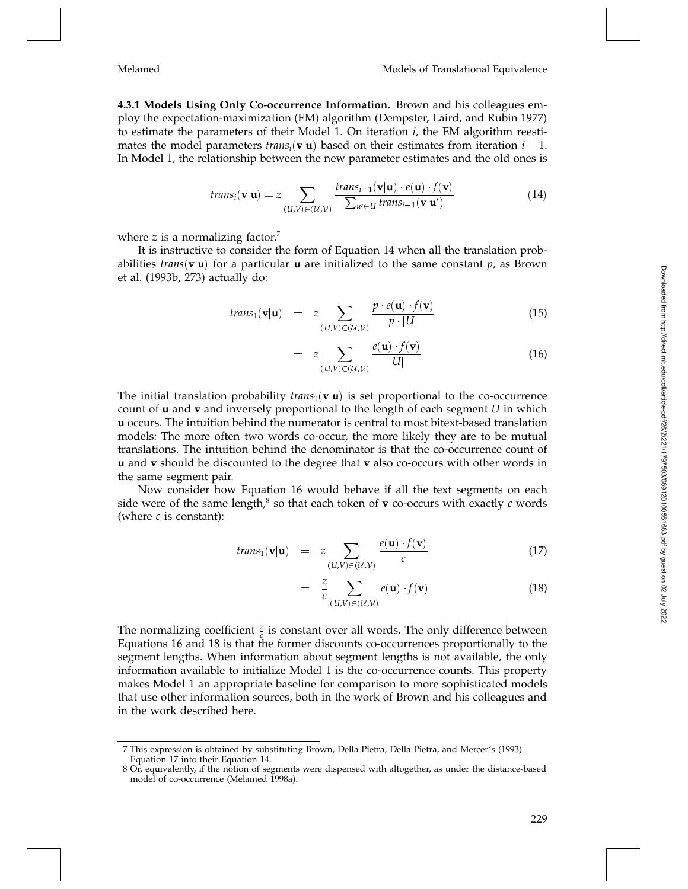**4.3.1 Models Using Only Co-occurrence Information.** Brown and his colleagues employ the expectation-maximization (EM) algorithm (Dempster, Laird, and Rubin 1977) to estimate the parameters of their Model 1. On iteration *i*, the EM algorithm reestimates the model parameters *trans<sub>i</sub>*( $\mathbf{v}$ |**u**) based on their estimates from iteration *i* – 1. In Model 1, the relationship between the new parameter estimates and the old ones is

$$
trans_i(\mathbf{v}|\mathbf{u}) = z \sum_{(U,V) \in (\mathcal{U}, \mathcal{V})} \frac{trans_{i-1}(\mathbf{v}|\mathbf{u}) \cdot e(\mathbf{u}) \cdot f(\mathbf{v})}{\sum_{u' \in \mathcal{U}} trans_{i-1}(\mathbf{v}|\mathbf{u}')}\tag{14}
$$

where z is a normalizing factor.<sup>7</sup>

It is instructive to consider the form of Equation 14 when all the translation probabilities *trans*( $\mathbf{v}|\mathbf{u}$ ) for a particular **u** are initialized to the same constant  $p$ , as Brown et al. (1993b, 273) actually do:

$$
trans_{1}(\mathbf{v}|\mathbf{u}) = z \sum_{(U,V) \in (U,V)} \frac{p \cdot e(\mathbf{u}) \cdot f(\mathbf{v})}{p \cdot |U|}
$$
(15)

$$
= z \sum_{(U,V)\in(\mathcal{U},\mathcal{V})} \frac{e(\mathbf{u}) \cdot f(\mathbf{v})}{|\mathcal{U}|}
$$
(16)

The initial translation probability  $trans_1(\mathbf{v}|\mathbf{u})$  is set proportional to the co-occurrence count of **u** and **v** and inversely proportional to the length of each segment U in which **u** occurs. The intuition behind the numerator is central to most bitext-based translation models: The more often two words co-occur, the more likely they are to be mutual translations. The intuition behind the denominator is that the co-occurrence count of **u** and **v** should be discounted to the degree that **v** also co-occurs with other words in the same segment pair.

Now consider how Equation 16 would behave if all the text segments on each side were of the same length,<sup>8</sup> so that each token of **v** co-occurs with exactly  $c$  words (where *c* is constant):

$$
trans_{1}(\mathbf{v}|\mathbf{u}) = z \sum_{(U,V) \in (U,V)} \frac{e(\mathbf{u}) \cdot f(\mathbf{v})}{c}
$$
(17)

$$
= \frac{z}{c} \sum_{(U,V) \in (\mathcal{U}, \mathcal{V})} e(\mathbf{u}) \cdot f(\mathbf{v}) \tag{18}
$$

The normalizing coefficient  $\frac{z}{c}$  is constant over all words. The only difference between Equations 16 and 18 is that the former discounts co-occurrences proportionally to the segment lengths. When information about segment lengths is not available, the only information available to initialize Model 1 is the co-occurrence counts. This property makes Model 1 an appropriate baseline for comparison to more sophisticated models that use other information sources, both in the work of Brown and his colleagues and in the work described here.

<sup>7</sup> This expression is obtained by substituting Brown, Della Pietra, Della Pietra, and Mercer's (1993) Equation 17 into their Equation 14.

<sup>8</sup> Or, equivalently, if the notion of segments were dispensed with altogether, as under the distance-based model of co-occurrence (Melamed 1998a).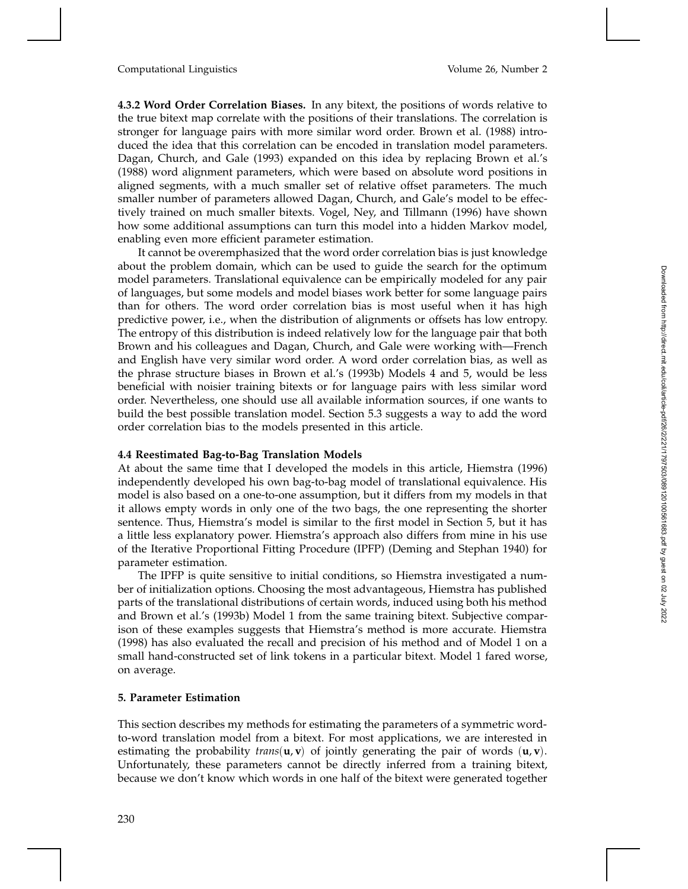**4.3.2 Word Order Correlation Biases.** In any bitext, the positions of words relative to the true bitext map correlate with the positions of their translations. The correlation is stronger for language pairs with more similar word order. Brown et al. (1988) introduced the idea that this correlation can be encoded in translation model parameters. Dagan, Church, and Gale (1993) expanded on this idea by replacing Brown et al.'s (1988) word alignment parameters, which were based on absolute word positions in aligned segments, with a much smaller set of relative offset parameters. The much smaller number of parameters allowed Dagan, Church, and Gale's model to be effectively trained on much smaller bitexts. Vogel, Ney, and Tillmann (1996) have shown how some additional assumptions can turn this model into a hidden Markov model, enabling even more efficient parameter estimation.

It cannot be overemphasized that the word order correlation bias is just knowledge about the problem domain, which can be used to guide the search for the optimum model parameters. Translational equivalence can be empirically modeled for any pair of languages, but some models and model biases work better for some language pairs than for others. The word order correlation bias is most useful when it has high predictive power, i.e., when the distribution of alignments or offsets has low entropy. The entropy of this distribution is indeed relatively low for the language pair that both Brown and his colleagues and Dagan, Church, and Gale were working with—French and English have very similar word order. A word order correlation bias, as well as the phrase structure biases in Brown et al.'s (1993b) Models 4 and 5, would be less beneficial with noisier training bitexts or for language pairs with less similar word order. Nevertheless, one should use all available information sources, if one wants to build the best possible translation model. Section 5.3 suggests a way to add the word order correlation bias to the models presented in this article.

#### **4.4 Reestimated Bag-to-Bag Translation Models**

At about the same time that I developed the models in this article, Hiemstra (1996) independently developed his own bag-to-bag model of translational equivalence. His model is also based on a one-to-one assumption, but it differs from my models in that it allows empty words in only one of the two bags, the one representing the shorter sentence. Thus, Hiemstra's model is similar to the first model in Section 5, but it has a little less explanatory power. Hiemstra's approach also differs from mine in his use of the Iterative Proportional Fitting Procedure (IPFP) (Deming and Stephan 1940) for parameter estimation.

The IPFP is quite sensitive to initial conditions, so Hiemstra investigated a number of initialization options. Choosing the most advantageous, Hiemstra has published parts of the translational distributions of certain words, induced using both his method and Brown et al.'s (1993b) Model 1 from the same training bitext. Subjective comparison of these examples suggests that Hiemstra's method is more accurate. Hiemstra (1998) has also evaluated the recall and precision of his method and of Model 1 on a small hand-constructed set of link tokens in a particular bitext. Model 1 fared worse, on average.

### **5. Parameter Estimation**

This section describes my methods for estimating the parameters of a symmetric wordto-word translation model from a bitext. For most applications, we are interested in estimating the probability *trans*( $\bf{u}, \bf{v}$ ) of jointly generating the pair of words  $(\bf{u}, \bf{v})$ . Unfortunately, these parameters cannot be directly inferred from a training bitext, because we don't know which words in one half of the bitext were generated together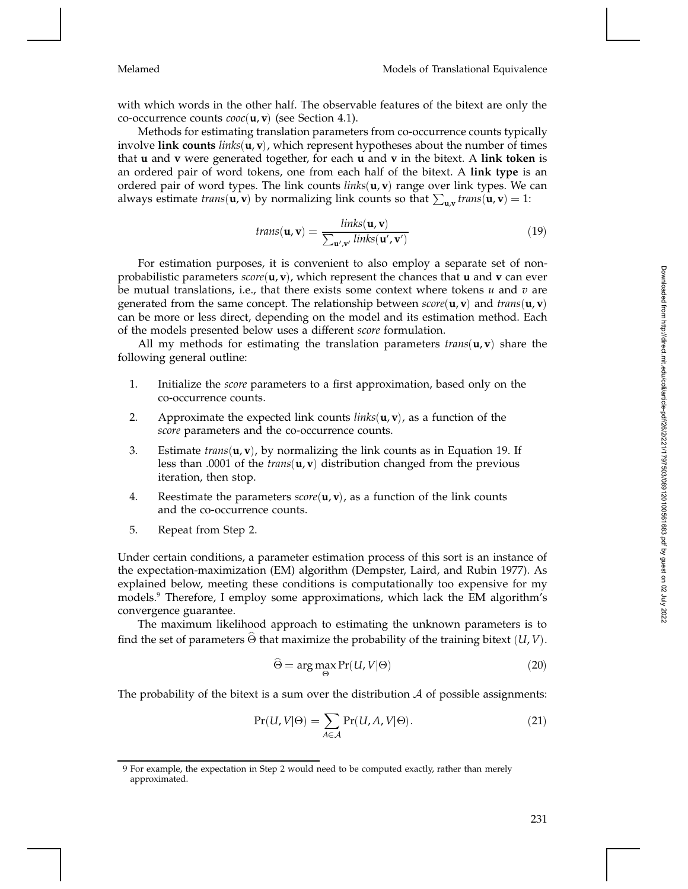with which words in the other half. The observable features of the bitext are only the co-occurrence counts *cooc*(**u**, **v**) (see Section 4.1).

Methods for estimating translation parameters from co-occurrence counts typically involve **link counts** *links*(**u**, **v**), which represent hypotheses about the number of times that **u** and **v** were generated together, for each **u** and **v** in the bitext. A **link token** is an ordered pair of word tokens, one from each half of the bitext. A **link type** is an ordered pair of word types. The link counts *links*(**u**, **v**) range over link types. We can always estimate *trans*( $\mathbf{u}, \mathbf{v}$ ) by normalizing link counts so that  $\sum_{\mathbf{u},\mathbf{v}}$  *trans*( $\mathbf{u}, \mathbf{v}$ ) = 1:

$$
trans(\mathbf{u}, \mathbf{v}) = \frac{links(\mathbf{u}, \mathbf{v})}{\sum_{\mathbf{u}', \mathbf{v}'} links(\mathbf{u}', \mathbf{v}')} \tag{19}
$$

For estimation purposes, it is convenient to also employ a separate set of nonprobabilistic parameters *score*(**u**, **v**), which represent the chances that **u** and **v** can ever be mutual translations, i.e., that there exists some context where tokens *u* and *v* are generated from the same concept. The relationship between  $score(\mathbf{u}, \mathbf{v})$  and  $trans(\mathbf{u}, \mathbf{v})$ can be more or less direct, depending on the model and its estimation method. Each of the models presented below uses a different *score* formulation.

All my methods for estimating the translation parameters *trans*(**u**, **v**) share the following general outline:

- 1. Initialize the *score* parameters to a first approximation, based only on the co-occurrence counts.
- 2. Approximate the expected link counts *links*(**u**, **v**), as a function of the *score* parameters and the co-occurrence counts.
- 3. Estimate *trans*(**u**, **v**), by normalizing the link counts as in Equation 19. If less than .0001 of the *trans*(**u**, **v**) distribution changed from the previous iteration, then stop.
- 4. Reestimate the parameters *score*(**u**, **v**), as a function of the link counts and the co-occurrence counts.
- 5. Repeat from Step 2.

Under certain conditions, a parameter estimation process of this sort is an instance of the expectation-maximization (EM) algorithm (Dempster, Laird, and Rubin 1977). As explained below, meeting these conditions is computationally too expensive for my models.<sup>9</sup> Therefore, I employ some approximations, which lack the EM algorithm's convergence guarantee.

The maximum likelihood approach to estimating the unknown parameters is to find the set of parameters  $\Theta$  that maximize the probability of the training bitext  $(U, V)$ .

$$
\widehat{\Theta} = \arg \max_{\Theta} \Pr(U, V | \Theta)
$$
\n(20)

The probability of the bitext is a sum over the distribution  $A$  of possible assignments:

$$
Pr(U, V | \Theta) = \sum_{A \in \mathcal{A}} Pr(U, A, V | \Theta).
$$
 (21)

<sup>9</sup> For example, the expectation in Step 2 would need to be computed exactly, rather than merely approximated.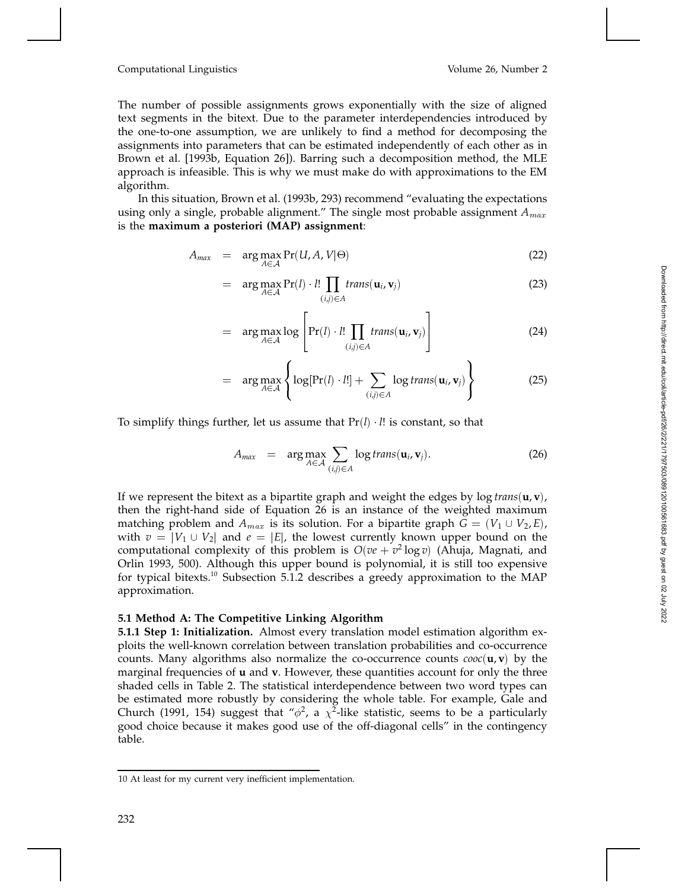Downloaded from http://direct.mit.edu/coli/article-pdf/26/21/1797503/089120100561683.pdf by guest on 02 July 2022 Downloaded from http://direct.mit.edu/coli/article-pdf/26/2/221/1797503/089120100561683.pdf by guest on 02 July 2022

The number of possible assignments grows exponentially with the size of aligned text segments in the bitext. Due to the parameter interdependencies introduced by the one-to-one assumption, we are unlikely to find a method for decomposing the assignments into parameters that can be estimated independently of each other as in Brown et al. [1993b, Equation 26]). Barring such a decomposition method, the MLE approach is infeasible. This is why we must make do with approximations to the EM algorithm.

In this situation, Brown et al. (1993b, 293) recommend "evaluating the expectations using only a single, probable alignment." The single most probable assignment *A*max is the **maximum a posteriori (MAP) assignment** :

$$
A_{max} = \arg \max_{A \in \mathcal{A}} \Pr(U, A, V | \Theta)
$$
\n(22)

$$
= \arg \max_{A \in \mathcal{A}} \Pr(l) \cdot l! \prod_{(i,j) \in A} trans(\mathbf{u}_i, \mathbf{v}_j)
$$
(23)

$$
= \arg \max_{A \in \mathcal{A}} \log \left[ \Pr(l) \cdot l! \prod_{(i,j) \in A} trans(\mathbf{u}_i, \mathbf{v}_j) \right]
$$
(24)

$$
= \arg \max_{A \in \mathcal{A}} \left\{ \log[\Pr(l) \cdot l!] + \sum_{(i,j) \in A} \log trans(\mathbf{u}_i, \mathbf{v}_j) \right\} \tag{25}
$$

To simplify things further, let us assume that Pr ( *l* ) *l*! is constant, so that

$$
A_{max} = \arg \max_{A \in \mathcal{A}} \sum_{(i,j) \in A} \log trans(\mathbf{u}_i, \mathbf{v}_j). \tag{26}
$$

If we represent the bitext as a bipartite graph and weight the edges by log *trans*(**u**,**v**), then the right-hand side of Equation 26 is an instance of the weighted maximum matching problem and  $A_{max}$  is its solution. For a bipartite graph  $G = (V_1 \cup V_2, E)$ , with  $v = |V_1 \cup V_2|$  and  $e = |E|$ , the lowest currently known upper bound on the computational complexity of this problem is  $O(ve + v^2 \log v)$  (Ahuja, Magnati, and Orlin 1993, 500). Although this upper bound is polynomial, it is still too expensive for typical bitexts.<sup>10</sup> Subsection 5.1.2 describes a greedy approximation to the MAP approximation.

#### **5.1 Method A: The Competitive Linking Algorithm**

**5.1.1 Step 1: Initialization.** Almost every translation model estimation algorithm exploits the well-known correlation between translation probabilities and co-occurrence counts. Many algorithms also normalize the co-occurrence counts *cooc* ( **u** , **v** ) by the marginal frequencies of **u** and **v**. However, these quantities account for only the three shaded cells in Table 2. The statistical interdependence between two word types can be estimated more robustly by considering the whole table. For example, Gale and Church (1991, 154) suggest that " $\phi^2$ , a  $\chi^2$ -like statistic, seems to be a particularly good choice because it makes good use of the off-diagonal cells" in the contingency table.

<sup>10</sup> At least for my current very inefficient implementation.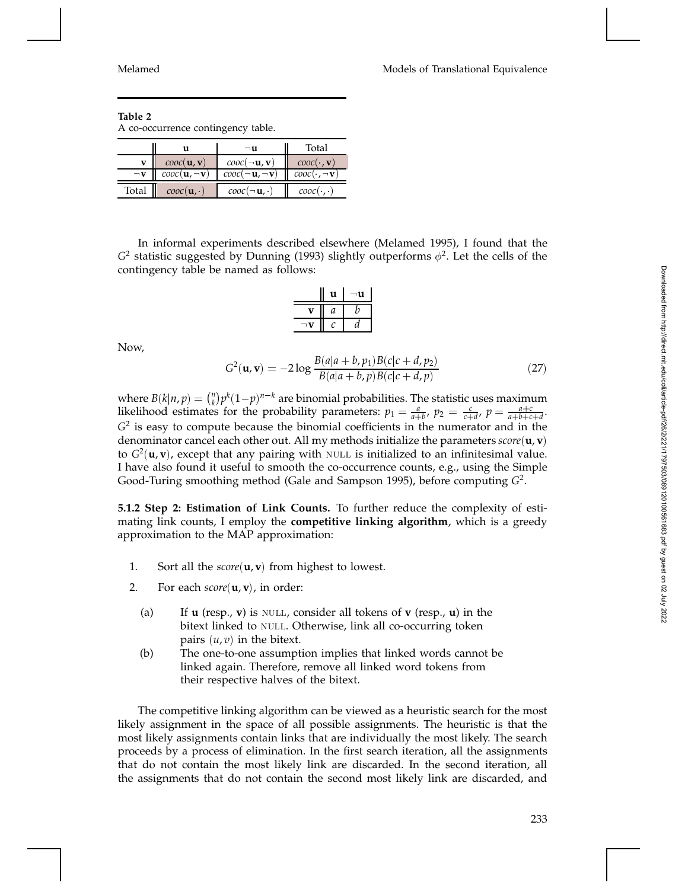# Melamed Models of Translational Equivalence

| Table 2                            |  |
|------------------------------------|--|
| A co-occurrence contingency table. |  |

|          | u                                   | ¬u                                       | Total                     |
|----------|-------------------------------------|------------------------------------------|---------------------------|
|          | $cooc(\mathbf{u}, \mathbf{v})$      | $cooc(\neg \mathbf{u}, \mathbf{v})$      | $cooc(\cdot, \mathbf{v})$ |
| $\neg$ v | $cooc(\mathbf{u}, \neg \mathbf{v})$ | $cooc(\neg \mathbf{u}, \neg \mathbf{v})$ | $cooc($ , $-\mathbf{v})$  |
| Total    | $cooc(\mathbf{u},\cdot)$            | $cooc(\neg \mathbf{u})$                  | $cooc($ ,                 |

In informal experiments described elsewhere (Melamed 1995), I found that the  $G<sup>2</sup>$  statistic suggested by Dunning (1993) slightly outperforms  $\phi<sup>2</sup>$ . Let the cells of the contingency table be named as follows:

**u** :**u v** *a b* :**v** *c d*

Now,

$$
G^{2}(\mathbf{u}, \mathbf{v}) = -2\log \frac{B(a|a+b, p_{1})B(c|c+d, p_{2})}{B(a|a+b, p)B(c|c+d, p)}
$$
(27)

where  $B(k|n, p) = {n \choose k} p^k (1-p)^{n-k}$  are binomial probabilities. The statistic uses maximum likelihood estimates for the probability parameters:  $p_1 = \frac{a}{a+b}$ ,  $p_2 = \frac{c}{c+d}$ ,  $p = \frac{a+c}{a+b+c+d}$ . *G*<sup>2</sup> is easy to compute because the binomial coefficients in the numerator and in the denominator cancel each other out. All my methods initialize the parameters *score*(**u**, **v**) to  $G^2(\mathbf{u}, \mathbf{v})$ , except that any pairing with NULL is initialized to an infinitesimal value. I have also found it useful to smooth the co-occurrence counts, e.g., using the Simple Good-Turing smoothing method (Gale and Sampson 1995), before computing *G*2.

**5.1.2 Step 2: Estimation of Link Counts.** To further reduce the complexity of estimating link counts, I employ the **competitive linking algorithm**, which is a greedy approximation to the MAP approximation:

- 1. Sort all the *score*(**u**, **v**) from highest to lowest.
- 2. For each *score*(**u**, **v**), in order:
	- (a) If **u** (resp., **v**) is NULL, consider all tokens of **v** (resp., **u**) in the bitext linked to NULL. Otherwise, link all co-occurring token pairs  $(u, v)$  in the bitext.
	- (b) The one-to-one assumption implies that linked words cannot be linked again. Therefore, remove all linked word tokens from their respective halves of the bitext.

The competitive linking algorithm can be viewed as a heuristic search for the most likely assignment in the space of all possible assignments. The heuristic is that the most likely assignments contain links that are individually the most likely. The search proceeds by a process of elimination. In the first search iteration, all the assignments that do not contain the most likely link are discarded. In the second iteration, all the assignments that do not contain the second most likely link are discarded, and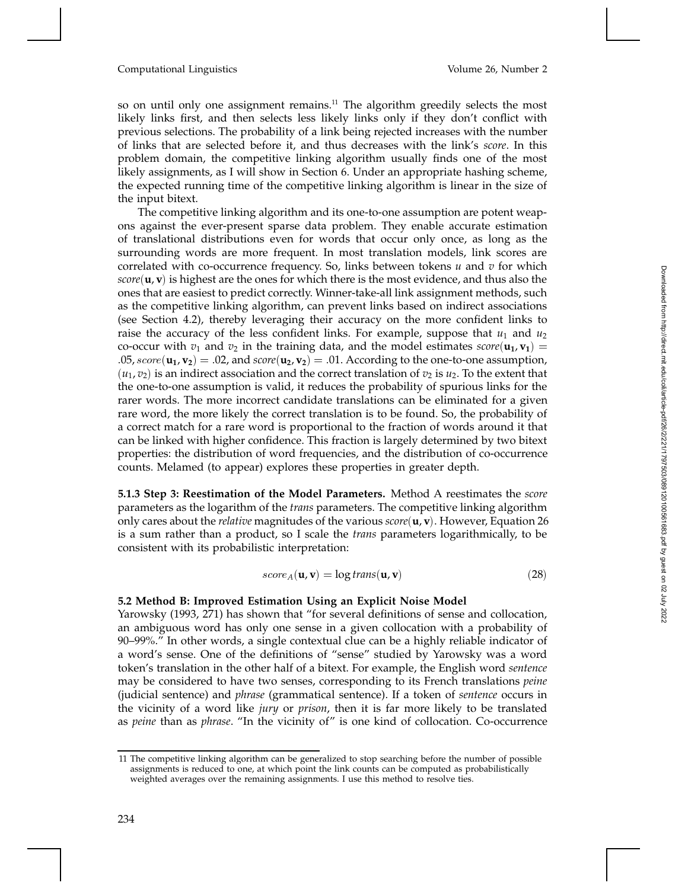so on until only one assignment remains. $11$  The algorithm greedily selects the most likely links first, and then selects less likely links only if they don't conflict with previous selections. The probability of a link being rejected increases with the number of links that are selected before it, and thus decreases with the link's *score*. In this problem domain, the competitive linking algorithm usually finds one of the most likely assignments, as I will show in Section 6. Under an appropriate hashing scheme, the expected running time of the competitive linking algorithm is linear in the size of the input bitext.

The competitive linking algorithm and its one-to-one assumption are potent weapons against the ever-present sparse data problem. They enable accurate estimation of translational distributions even for words that occur only once, as long as the surrounding words are more frequent. In most translation models, link scores are correlated with co-occurrence frequency. So, links between tokens *u* and *v* for which *score* ( **u** , **v** ) is highest are the ones for which there is the most evidence, and thus also the ones that are easiest to predict correctly. Winner-take-all link assignment methods, such as the competitive linking algorithm, can prevent links based on indirect associations (see Section 4.2), thereby leveraging their accuracy on the more confident links to raise the accuracy of the less confident links. For example, suppose that  $u_1$  and  $u_2$ co-occur with  $v_1$  and  $v_2$  in the training data, and the model estimates  $score(\mathbf{u}_1, \mathbf{v}_1) =$ .05,  $score(\mathbf{u}_1, \mathbf{v}_2) = .02$ , and  $score(\mathbf{u}_2, \mathbf{v}_2) = .01$ . According to the one-to-one assumption,  $(u_1, v_2)$  is an indirect association and the correct translation of  $v_2$  is  $u_2$ . To the extent that the one-to-one assumption is valid, it reduces the probability of spurious links for the rarer words. The more incorrect candidate translations can be eliminated for a given rare word, the more likely the correct translation is to be found. So, the probability of a correct match for a rare word is proportional to the fraction of words around it that can be linked with higher confidence. This fraction is largely determined by two bitext properties: the distribution of word frequencies, and the distribution of co-occurrence counts. Melamed (to appear) explores these properties in greater depth.

**5.1.3 Step 3: Reestimation of the Model Parameters.** Method A reestimates the *score* parameters as the logarithm of the *trans* parameters. The competitive linking algorithm only cares about the *relative* magnitudes of the various *score* ( **u** , **v** ). However, Equation 26 is a sum rather than a product, so I scale the *trans* parameters logarithmically, to be consistent with its probabilistic interpretation:

$$
score_A(\mathbf{u}, \mathbf{v}) = \log trans(\mathbf{u}, \mathbf{v})
$$
\n(28)

#### **5.2 Method B: Improved Estimation Using an Explicit Noise Model**

Yarowsky (1993, 271) has shown that "for several definitions of sense and collocation, an ambiguous word has only one sense in a given collocation with a probability of 90–99%." In other words, a single contextual clue can be a highly reliable indicator of a word's sense. One of the definitions of "sense" studied by Yarowsky was a word token's translation in the other half of a bitext. For example, the English word *sentence* may be considered to have two senses, corresponding to its French translations *peine* (judicial sentence) and *phrase* (grammatical sentence). If a token of *sentence* occurs in the vicinity of a word like *jury* or *prison*, then it is far more likely to be translated as *peine* than as *phrase*. "In the vicinity of" is one kind of collocation. Co-occurrence

<sup>11</sup> The competitive linking algorithm can be generalized to stop searching before the number of possible assignments is reduced to one, at which point the link counts can be computed as probabilistically weighted averages over the remaining assignments. I use this method to resolve ties.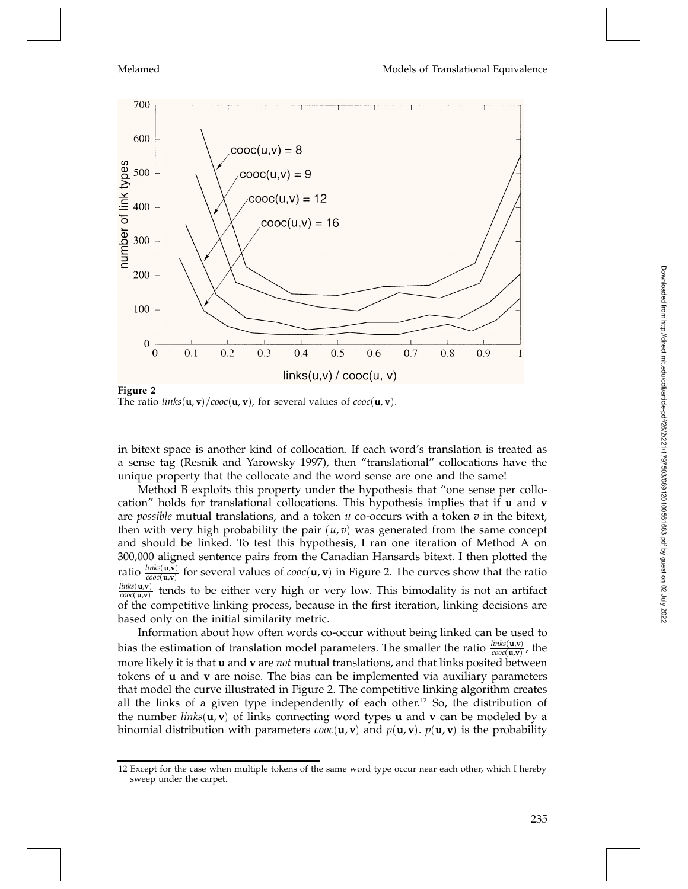#### Melamed Models of Translational Equivalence Models of Translational Equivalence



**Figure 2** The ratio  $links(\mathbf{u}, \mathbf{v})/cooc(\mathbf{u}, \mathbf{v})$ , for several values of  $cooc(\mathbf{u}, \mathbf{v})$ .

in bitext space is another kind of collocation. If each word's translation is treated as a sense tag (Resnik and Yarowsky 1997), then "translational" collocations have the unique property that the collocate and the word sense are one and the same!

Method B exploits this property under the hypothesis that "one sense per collocation" holds for translational collocations. This hypothesis implies that if **u** and **v** are *possible* mutual translations, and a token *u* co-occurs with a token *v* in the bitext, then with very high probability the pair  $(u, v)$  was generated from the same concept and should be linked. To test this hypothesis, I ran one iteration of Method A on 300,000 aligned sentence pairs from the Canadian Hansards bitext. I then plotted the ratio  $\frac{link(s(\mathbf{u}, \mathbf{v})}{cov(\mathbf{u}, \mathbf{v})}$  for several values of  $cov(\mathbf{u}, \mathbf{v})$  in Figure 2. The curves show that the ratio  $\lim_{x \to a}$   $\lim_{x \to a}$   $\lim_{x \to a}$   $\lim_{x \to a}$   $\lim_{x \to a}$  $\frac{u\pi k s(u,v)}{cov(u,v)}$  tends to be either very high or very low. This bimodality is not an artifact of the competitive linking process, because in the first iteration, linking decisions are based only on the initial similarity metric.

Information about how often words co-occur without being linked can be used to bias the estimation of translation model parameters. The smaller the ratio  $\frac{links(\mathbf{u}, \mathbf{v})}{cov(\mathbf{u}, \mathbf{v})}$ , the more likely it is that **u** and **v** are *not* mutual translations, and that links posited between tokens of **u** and **v** are noise. The bias can be implemented via auxiliary parameters that model the curve illustrated in Figure 2. The competitive linking algorithm creates all the links of a given type independently of each other.<sup>12</sup> So, the distribution of the number *links*(**u**, **v**) of links connecting word types **u** and **v** can be modeled by a binomial distribution with parameters  $\cos(c(\mathbf{u}, \mathbf{v}))$  and  $p(\mathbf{u}, \mathbf{v})$ .  $p(\mathbf{u}, \mathbf{v})$  is the probability

<sup>12</sup> Except for the case when multiple tokens of the same word type occur near each other, which I hereby sweep under the carpet.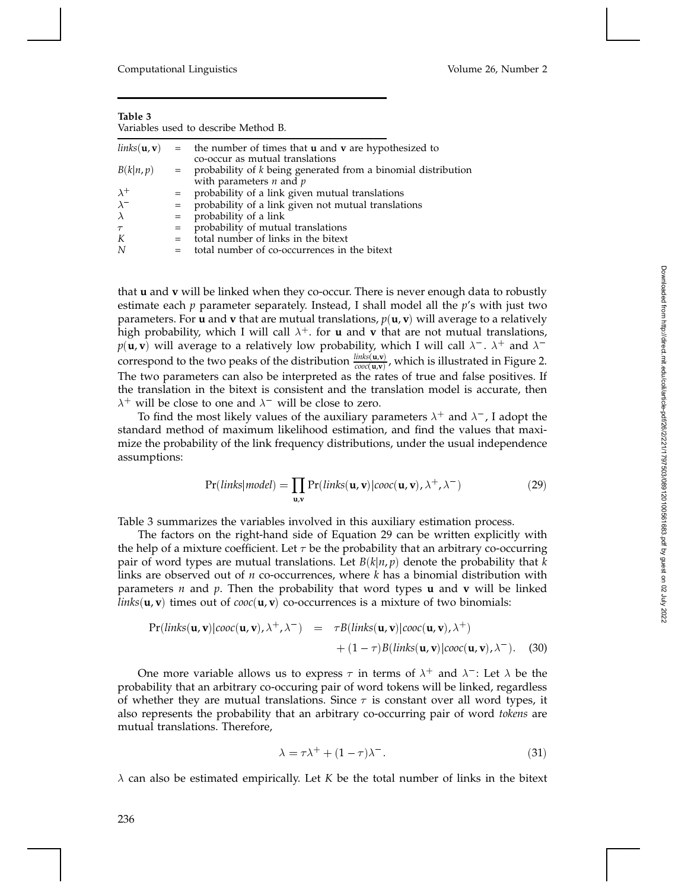| Table |  |
|-------|--|
|       |  |

Variables used to describe Method B.

| $links({\bf u},{\bf v})$ | $=$ | the number of times that $\bf{u}$ and $\bf{v}$ are hypothesized to |
|--------------------------|-----|--------------------------------------------------------------------|
|                          |     | co-occur as mutual translations                                    |
| B(k n,p)                 | $=$ | probability of k being generated from a binomial distribution      |
|                          |     | with parameters $n$ and $p$                                        |
| $\lambda^+$              | $=$ | probability of a link given mutual translations                    |
| $\lambda^-$              | $=$ | probability of a link given not mutual translations                |
|                          | $=$ | probability of a link                                              |
|                          | $=$ | probability of mutual translations                                 |
|                          | $=$ | total number of links in the bitext                                |
|                          | $=$ | total number of co-occurrences in the bitext                       |

that **u** and **v** will be linked when they co-occur. There is never enough data to robustly estimate each *p* parameter separately. Instead, I shall model all the *p*'s with just two parameters. For **u** and **v** that are mutual translations,  $p(\mathbf{u}, \mathbf{v})$  will average to a relatively high probability, which I will call  $\lambda^+$ . for **u** and **v** that are not mutual translations,  $p(\mathbf{u},\mathbf{v})$  will average to a relatively low probability, which I will call  $\lambda^-$ .  $\lambda^+$  and  $\lambda^$ correspond to the two peaks of the distribution  $\frac{links(\mathbf{u}, \mathbf{v})}{cov(\mathbf{u}, \mathbf{v})}$ , which is illustrated in Figure 2. The two parameters can also be interpreted as the rates of true and false positives. If the translation in the bitext is consistent and the translation model is accurate, then  $\lambda^+$  will be close to one and  $\lambda^-$  will be close to zero.

To find the most likely values of the auxiliary parameters  $\lambda^+$  and  $\lambda^-$ , I adopt the standard method of maximum likelihood estimation, and find the values that maximize the probability of the link frequency distributions, under the usual independence assumptions:

$$
Pr(links | model) = \prod_{\mathbf{u}, \mathbf{v}} Pr(links(\mathbf{u}, \mathbf{v}) | cooc(\mathbf{u}, \mathbf{v}), \lambda^{+}, \lambda^{-})
$$
(29)

Table 3 summarizes the variables involved in this auxiliary estimation process.

The factors on the right-hand side of Equation 29 can be written explicitly with the help of a mixture coefficient. Let  $\tau$  be the probability that an arbitrary co-occurring pair of word types are mutual translations. Let *B*(*k*j*n*, *p*) denote the probability that *k* links are observed out of *n* co-occurrences, where *k* has a binomial distribution with parameters *n* and *p*. Then the probability that word types **u** and **v** will be linked *links*( $\mathbf{u}, \mathbf{v}$ ) times out of *cooc*( $\mathbf{u}, \mathbf{v}$ ) co-occurrences is a mixture of two binomials:

$$
Pr(links(\mathbf{u}, \mathbf{v})| cooc(\mathbf{u}, \mathbf{v}), \lambda^{+}, \lambda^{-}) = \tau B(links(\mathbf{u}, \mathbf{v})| cooc(\mathbf{u}, \mathbf{v}), \lambda^{+}) + (1 - \tau) B(links(\mathbf{u}, \mathbf{v})| cooc(\mathbf{u}, \mathbf{v}), \lambda^{-}).
$$
 (30)

One more variable allows us to express  $\tau$  in terms of  $\lambda^+$  and  $\lambda^-$ : Let  $\lambda$  be the probability that an arbitrary co-occuring pair of word tokens will be linked, regardless of whether they are mutual translations. Since  $\tau$  is constant over all word types, it also represents the probability that an arbitrary co-occurring pair of word *tokens* are mutual translations. Therefore,

$$
\lambda = \tau \lambda^+ + (1 - \tau) \lambda^-.
$$
\n(31)

 $\lambda$  can also be estimated empirically. Let *K* be the total number of links in the bitext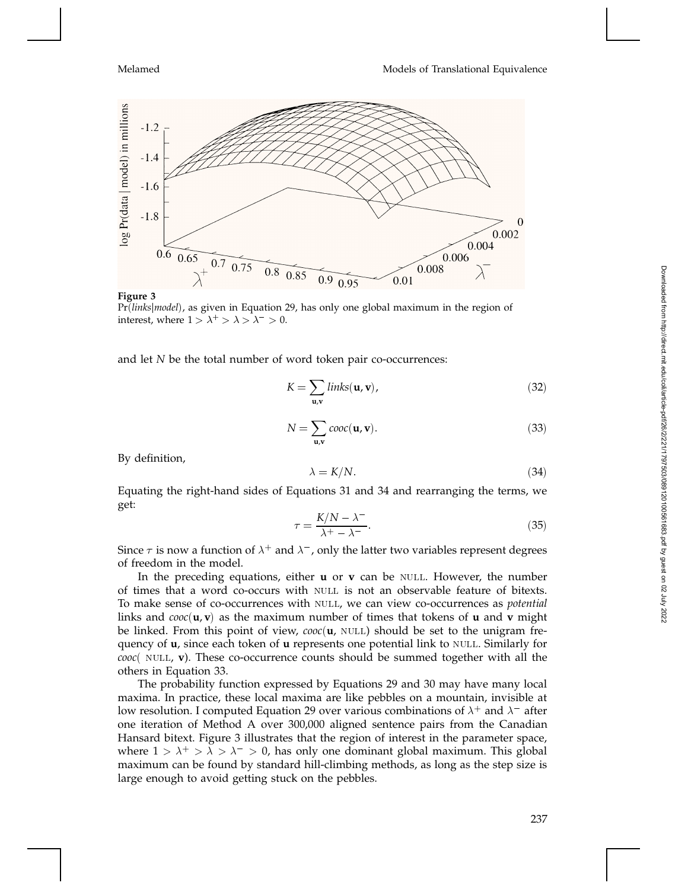

**Figure 3**

Pr(*links*j*model*), as given in Equation 29, has only one global maximum in the region of interest, where  $1 > \lambda^+ > \lambda > \lambda^- > 0$ .

and let *N* be the total number of word token pair co-occurrences:

$$
K = \sum_{\mathbf{u}, \mathbf{v}} \text{links}(\mathbf{u}, \mathbf{v}),\tag{32}
$$

$$
N = \sum_{\mathbf{u}, \mathbf{v}} \text{cooc}(\mathbf{u}, \mathbf{v}).\tag{33}
$$

By definition,

$$
\lambda = K/N \tag{34}
$$

Equating the right-hand sides of Equations 31 and 34 and rearranging the terms, we get:

$$
\tau = \frac{K/N - \lambda^-}{\lambda^+ - \lambda^-}.\tag{35}
$$

Since  $\tau$  is now a function of  $\lambda^+$  and  $\lambda^-$ , only the latter two variables represent degrees of freedom in the model.

In the preceding equations, either **u** or **v** can be NULL. However, the number of times that a word co-occurs with NULL is not an observable feature of bitexts. To make sense of co-occurrences with null, we can view co-occurrences as *potential* links and  $\cos(\mathbf{u}, \mathbf{v})$  as the maximum number of times that tokens of **u** and **v** might be linked. From this point of view,  $cooc(\mathbf{u}, NULL)$  should be set to the unigram frequency of **u**, since each token of **u** represents one potential link to null. Similarly for *cooc*( NULL, **v**). These co-occurrence counts should be summed together with all the others in Equation 33.

The probability function expressed by Equations 29 and 30 may have many local maxima. In practice, these local maxima are like pebbles on a mountain, invisible at low resolution. I computed Equation 29 over various combinations of  $\lambda^+$  and  $\lambda^-$  after one iteration of Method A over 300,000 aligned sentence pairs from the Canadian Hansard bitext. Figure 3 illustrates that the region of interest in the parameter space, where  $1 > \lambda^+ > \lambda > \lambda^- > 0$ , has only one dominant global maximum. This global maximum can be found by standard hill-climbing methods, as long as the step size is large enough to avoid getting stuck on the pebbles.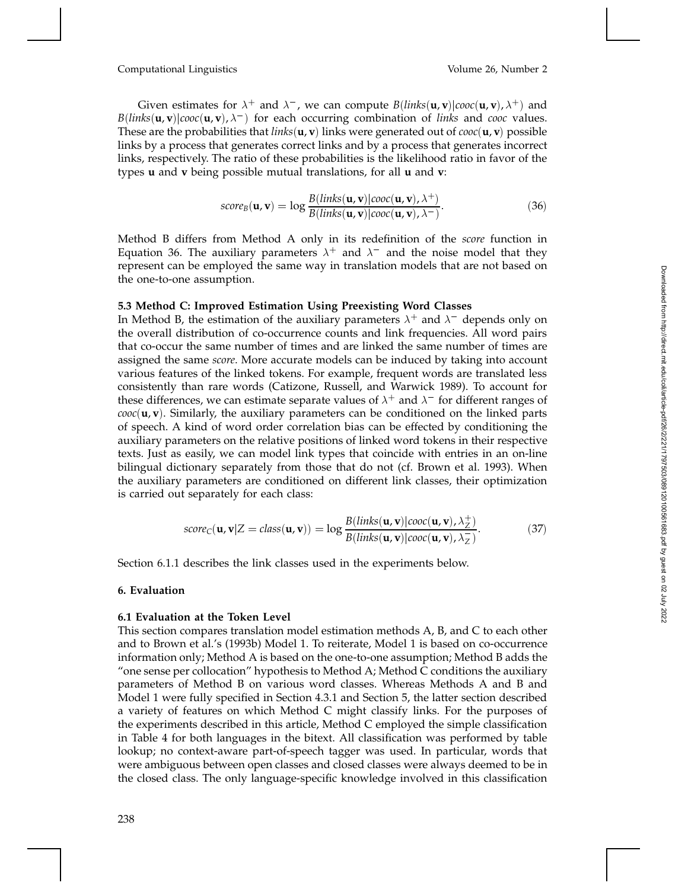Given estimates for  $\lambda^+$  and  $\lambda^-$ , we can compute  $B(links(\mathbf{u}, \mathbf{v})|cooc(\mathbf{u}, \mathbf{v}), \lambda^+)$  and  $B(links(\mathbf{u}, \mathbf{v})|cooc(\mathbf{u}, \mathbf{v}), \lambda^{-})$  for each occurring combination of *links* and *cooc* values. These are the probabilities that  $links(\mathbf{u},\mathbf{v})$  links were generated out of  $cooc(\mathbf{u},\mathbf{v})$  possible links by a process that generates correct links and by a process that generates incorrect links, respectively. The ratio of these probabilities is the likelihood ratio in favor of the types **u** and **v** being possible mutual translations, for all **u** and **v** :

$$
score_B(\mathbf{u}, \mathbf{v}) = \log \frac{B(links(\mathbf{u}, \mathbf{v})|cocc(\mathbf{u}, \mathbf{v}), \lambda^+)}{B(links(\mathbf{u}, \mathbf{v})|cocc(\mathbf{u}, \mathbf{v}), \lambda^-)}.
$$
(36)

Method B differs from Method A only in its redefinition of the *score* function in Equation 36. The auxiliary parameters  $\lambda^+$  and  $\lambda^-$  and the noise model that they represent can be employed the same way in translation models that are not based on the one-to-one assumption.

#### **5.3 Method C: Improved Estimation Using Preexisting Word Classes**

In Method B, the estimation of the auxiliary parameters  $\lambda^+$  and  $\lambda^-$  depends only on the overall distribution of co-occurrence counts and link frequencies. All word pairs that co-occur the same number of times and are linked the same number of times are assigned the same *score*. More accurate models can be induced by taking into account various features of the linked tokens. For example, frequent words are translated less consistently than rare words (Catizone, Russell, and Warwick 1989). To account for these differences, we can estimate separate values of  $\lambda^+$  and  $\lambda^-$  for different ranges of *cooc* ( **u** , **v** ). Similarly, the auxiliary parameters can be conditioned on the linked parts of speech. A kind of word order correlation bias can be effected by conditioning the auxiliary parameters on the relative positions of linked word tokens in their respective texts. Just as easily, we can model link types that coincide with entries in an on-line bilingual dictionary separately from those that do not (cf. Brown et al. 1993). When the auxiliary parameters are conditioned on different link classes, their optimization is carried out separately for each class:

$$
score_{C}(\mathbf{u}, \mathbf{v}|Z = class(\mathbf{u}, \mathbf{v})) = \log \frac{B(links(\mathbf{u}, \mathbf{v})|cooc(\mathbf{u}, \mathbf{v}), \lambda_Z^+)}{B(links(\mathbf{u}, \mathbf{v})|cooc(\mathbf{u}, \mathbf{v}), \lambda_Z^-)}.
$$
(37)

Section 6.1.1 describes the link classes used in the experiments below.

#### **6. Evaluation**

# **6.1 Evaluation at the Token Level**

This section compares translation model estimation methods A, B, and C to each other and to Brown et al.'s (1993b) Model 1. To reiterate, Model 1 is based on co-occurrence information only; Method A is based on the one-to-one assumption; Method B adds the "one sense per collocation" hypothesis to Method A; Method C conditions the auxiliary parameters of Method B on various word classes. Whereas Methods A and B and Model 1 were fully specified in Section 4.3.1 and Section 5, the latter section described a variety of features on which Method C might classify links. For the purposes of the experiments described in this article, Method C employed the simple classification in Table 4 for both languages in the bitext. All classification was performed by table lookup; no context-aware part-of-speech tagger was used. In particular, words that were ambiguous between open classes and closed classes were always deemed to be in the closed class. The only language-specific knowledge involved in this classification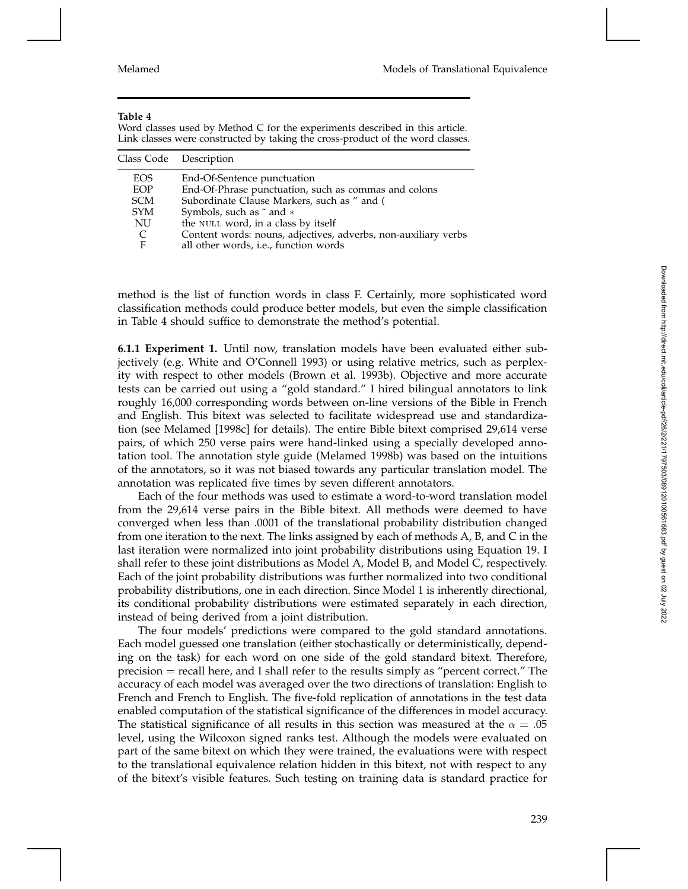#### **Table 4**

Word classes used by Method C for the experiments described in this article. Link classes were constructed by taking the cross-product of the word classes.

| Class Code Description                                   |                                                                                                                                                                                                                                                                         |
|----------------------------------------------------------|-------------------------------------------------------------------------------------------------------------------------------------------------------------------------------------------------------------------------------------------------------------------------|
| <b>EOS</b><br>EOP<br><b>SCM</b><br><b>SYM</b><br>NU<br>C | End-Of-Sentence punctuation<br>End-Of-Phrase punctuation, such as commas and colons<br>Subordinate Clause Markers, such as " and (<br>Symbols, such as ~ and *<br>the NULL word, in a class by itself<br>Content words: nouns, adjectives, adverbs, non-auxiliary verbs |
| F                                                        | all other words, i.e., function words                                                                                                                                                                                                                                   |

method is the list of function words in class F. Certainly, more sophisticated word classification methods could produce better models, but even the simple classification in Table 4 should suffice to demonstrate the method's potential.

**6.1.1 Experiment 1.** Until now, translation models have been evaluated either subjectively (e.g. White and O'Connell 1993) or using relative metrics, such as perplexity with respect to other models (Brown et al. 1993b). Objective and more accurate tests can be carried out using a "gold standard." I hired bilingual annotators to link roughly 16,000 corresponding words between on-line versions of the Bible in French and English. This bitext was selected to facilitate widespread use and standardization (see Melamed [1998c] for details). The entire Bible bitext comprised 29,614 verse pairs, of which 250 verse pairs were hand-linked using a specially developed annotation tool. The annotation style guide (Melamed 1998b) was based on the intuitions of the annotators, so it was not biased towards any particular translation model. The annotation was replicated five times by seven different annotators.

Each of the four methods was used to estimate a word-to-word translation model from the 29,614 verse pairs in the Bible bitext. All methods were deemed to have converged when less than .0001 of the translational probability distribution changed from one iteration to the next. The links assigned by each of methods A, B, and C in the last iteration were normalized into joint probability distributions using Equation 19. I shall refer to these joint distributions as Model A, Model B, and Model C, respectively. Each of the joint probability distributions was further normalized into two conditional probability distributions, one in each direction. Since Model 1 is inherently directional, its conditional probability distributions were estimated separately in each direction, instead of being derived from a joint distribution.

The four models' predictions were compared to the gold standard annotations. Each model guessed one translation (either stochastically or deterministically, depending on the task) for each word on one side of the gold standard bitext. Therefore, precision <sup>=</sup> recall here, and I shall refer to the results simply as "percent correct." The accuracy of each model was averaged over the two directions of translation: English to French and French to English. The five-fold replication of annotations in the test data enabled computation of the statistical significance of the differences in model accuracy. The statistical significance of all results in this section was measured at the  $\alpha = .05$ level, using the Wilcoxon signed ranks test. Although the models were evaluated on part of the same bitext on which they were trained, the evaluations were with respect to the translational equivalence relation hidden in this bitext, not with respect to any of the bitext's visible features. Such testing on training data is standard practice for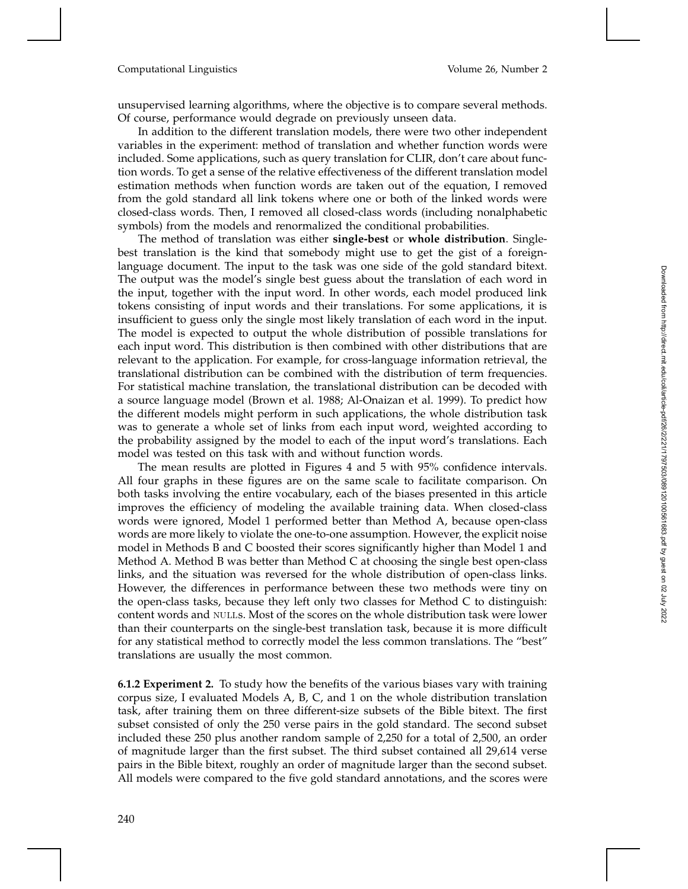unsupervised learning algorithms, where the objective is to compare several methods. Of course, performance would degrade on previously unseen data.

In addition to the different translation models, there were two other independent variables in the experiment: method of translation and whether function words were included. Some applications, such as query translation for CLIR, don't care about function words. To get a sense of the relative effectiveness of the different translation model estimation methods when function words are taken out of the equation, I removed from the gold standard all link tokens where one or both of the linked words were closed-class words. Then, I removed all closed-class words (including nonalphabetic symbols) from the models and renormalized the conditional probabilities.

The method of translation was either **single-best** or **whole distribution**. Singlebest translation is the kind that somebody might use to get the gist of a foreignlanguage document. The input to the task was one side of the gold standard bitext. The output was the model's single best guess about the translation of each word in the input, together with the input word. In other words, each model produced link tokens consisting of input words and their translations. For some applications, it is insufficient to guess only the single most likely translation of each word in the input. The model is expected to output the whole distribution of possible translations for each input word. This distribution is then combined with other distributions that are relevant to the application. For example, for cross-language information retrieval, the translational distribution can be combined with the distribution of term frequencies. For statistical machine translation, the translational distribution can be decoded with a source language model (Brown et al. 1988; Al-Onaizan et al. 1999). To predict how the different models might perform in such applications, the whole distribution task was to generate a whole set of links from each input word, weighted according to the probability assigned by the model to each of the input word's translations. Each model was tested on this task with and without function words.

The mean results are plotted in Figures 4 and 5 with 95% confidence intervals. All four graphs in these figures are on the same scale to facilitate comparison. On both tasks involving the entire vocabulary, each of the biases presented in this article improves the efficiency of modeling the available training data. When closed-class words were ignored, Model 1 performed better than Method A, because open-class words are more likely to violate the one-to-one assumption. However, the explicit noise model in Methods B and C boosted their scores significantly higher than Model 1 and Method A. Method B was better than Method C at choosing the single best open-class links, and the situation was reversed for the whole distribution of open-class links. However, the differences in performance between these two methods were tiny on the open-class tasks, because they left only two classes for Method C to distinguish: content words and nulls. Most of the scores on the whole distribution task were lower than their counterparts on the single-best translation task, because it is more difficult for any statistical method to correctly model the less common translations. The "best" translations are usually the most common.

**6.1.2 Experiment 2.** To study how the benefits of the various biases vary with training corpus size, I evaluated Models A, B, C, and 1 on the whole distribution translation task, after training them on three different-size subsets of the Bible bitext. The first subset consisted of only the 250 verse pairs in the gold standard. The second subset included these 250 plus another random sample of 2,250 for a total of 2,500, an order of magnitude larger than the first subset. The third subset contained all 29,614 verse pairs in the Bible bitext, roughly an order of magnitude larger than the second subset. All models were compared to the five gold standard annotations, and the scores were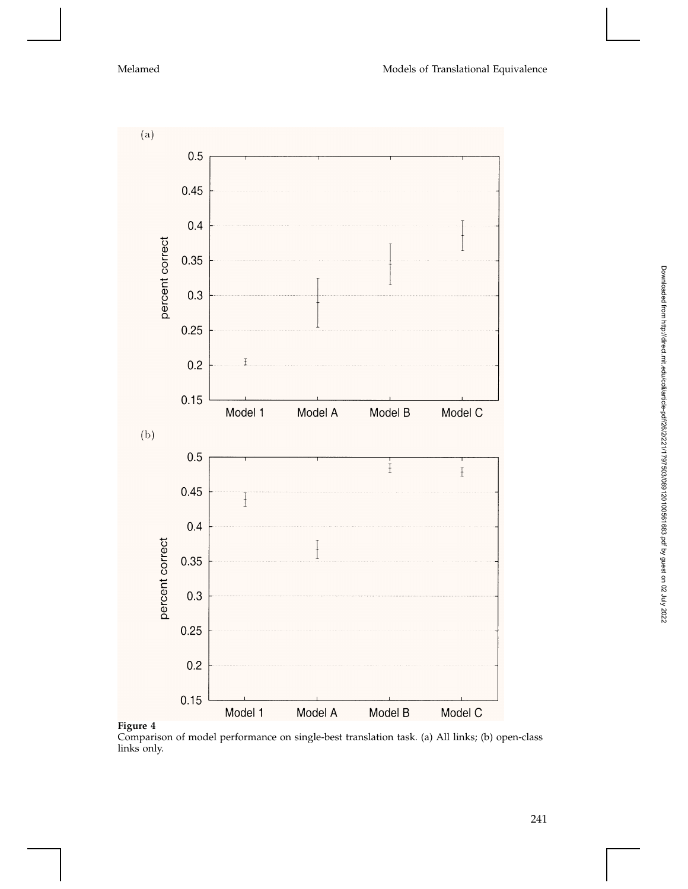

# **Figure 4**

Comparison of model performance on single-best translation task. (a) All links; (b) open-class links only.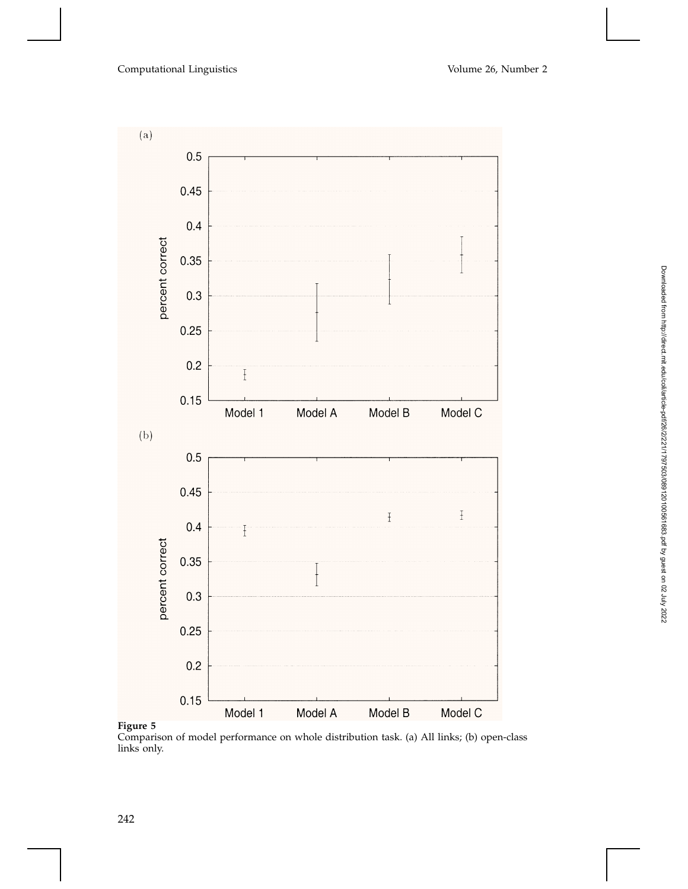

**Figure 5**

Comparison of model performance on whole distribution task. (a) All links; (b) open-class links only.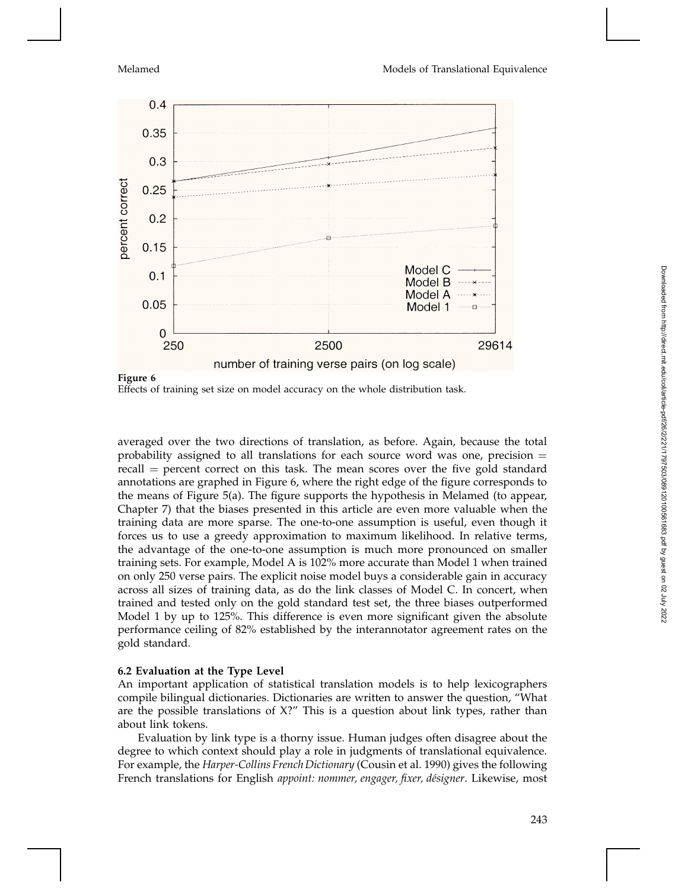

Effects of training set size on model accuracy on the whole distribution task.

averaged over the two directions of translation, as before. Again, because the total **Probability** assigned to all translations for each source word all translations for each source word and translation and the means of Figure 6<br>
and the translation of translation, as before Again, because the total<br>
prob recall <sup>=</sup> percent correct on this task. The mean scores over the five gold standard annotations are graphed in Figure 6, where the right edge of the figure corresponds to the means of Figure 5(a). The figure supports the hypothesis in Melamed (to appear, Chapter 7) that the biases presented in this article are even more valuable when the training data are more sparse. The one-to-one assumption is useful, even though it forces us to use a greedy approximation to maximum likelihood. In relative terms, the advantage of the one-to-one assumption is much more pronounced on smaller training sets. For example, Model A is 102% more accurate than Model 1 when trained on only 250 verse pairs. The explicit noise model buys a considerable gain in accuracy across all sizes of training data, as do the link classes of Model C. In concert, when trained and tested only on the gold standard test set, the three biases outperformed Model 1 by up to 125%. This difference is even more significant given the absolute performance ceiling of 82% established by the interannotator agreement rates on the gold standard.

#### **6.2 Evaluation at the Type Level**

An important application of statistical translation models is to help lexicographers compile bilingual dictionaries. Dictionaries are written to answer the question, "What are the possible translations of X?" This is a question about link types, rather than about link tokens.

Evaluation by link type is a thorny issue. Human judges often disagree about the degree to which context should play a role in judgments of translational equivalence. For example, the *Harper-Collins French Dictionary* (Cousin et al. 1990) gives the following French translations for English *appoint: nommer, engager, fixer, d´esigner*. Likewise, most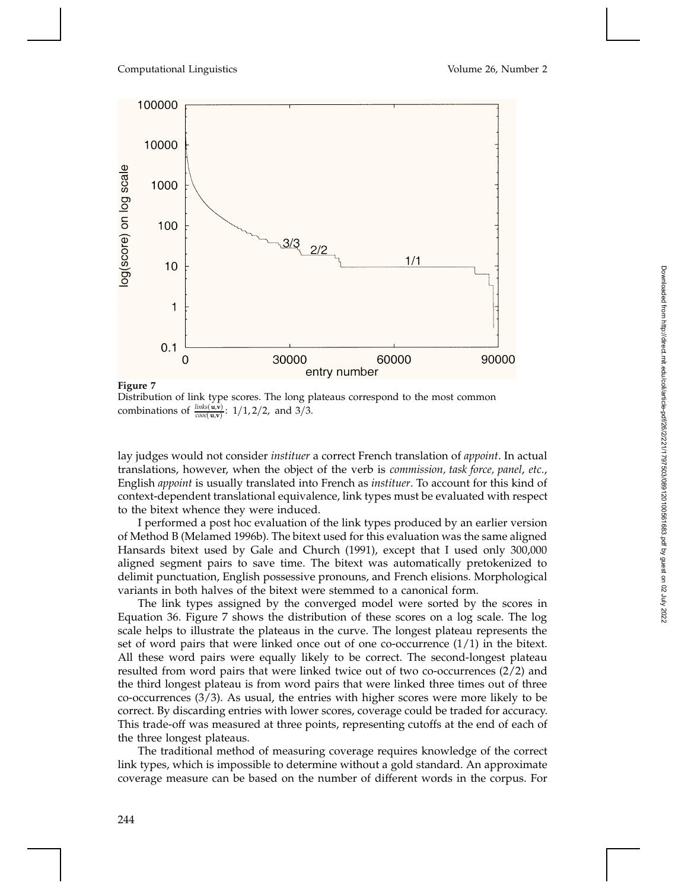

**Figure 7** Distribution of link type scores. The long plateaus correspond to the most common combinations of  $\frac{links(\mathbf{u},\mathbf{v})}{cooc(\mathbf{u},\mathbf{v})}$ : 1/1, 2/2, and 3/3.

lay judges would not consider *instituer* a correct French translation of *appoint*. In actual translations, however, when the object of the verb is *commission, task force, panel*, *etc.*, English *appoint* is usually translated into French as *instituer*. To account for this kind of context-dependent translational equivalence, link types must be evaluated with respect to the bitext whence they were induced.

I performed a post hoc evaluation of the link types produced by an earlier version of Method B (Melamed 1996b). The bitext used for this evaluation was the same aligned Hansards bitext used by Gale and Church (1991), except that I used only 300,000 aligned segment pairs to save time. The bitext was automatically pretokenized to delimit punctuation, English possessive pronouns, and French elisions. Morphological variants in both halves of the bitext were stemmed to a canonical form.

The link types assigned by the converged model were sorted by the scores in Equation 36. Figure 7 shows the distribution of these scores on a log scale. The log scale helps to illustrate the plateaus in the curve. The longest plateau represents the set of word pairs that were linked once out of one co-occurrence  $(1/1)$  in the bitext. All these word pairs were equally likely to be correct. The second-longest plateau resulted from word pairs that were linked twice out of two co-occurrences (2/2) and the third longest plateau is from word pairs that were linked three times out of three co-occurrences (3/3). As usual, the entries with higher scores were more likely to be correct. By discarding entries with lower scores, coverage could be traded for accuracy. This trade-off was measured at three points, representing cutoffs at the end of each of the three longest plateaus.

The traditional method of measuring coverage requires knowledge of the correct link types, which is impossible to determine without a gold standard. An approximate coverage measure can be based on the number of different words in the corpus. For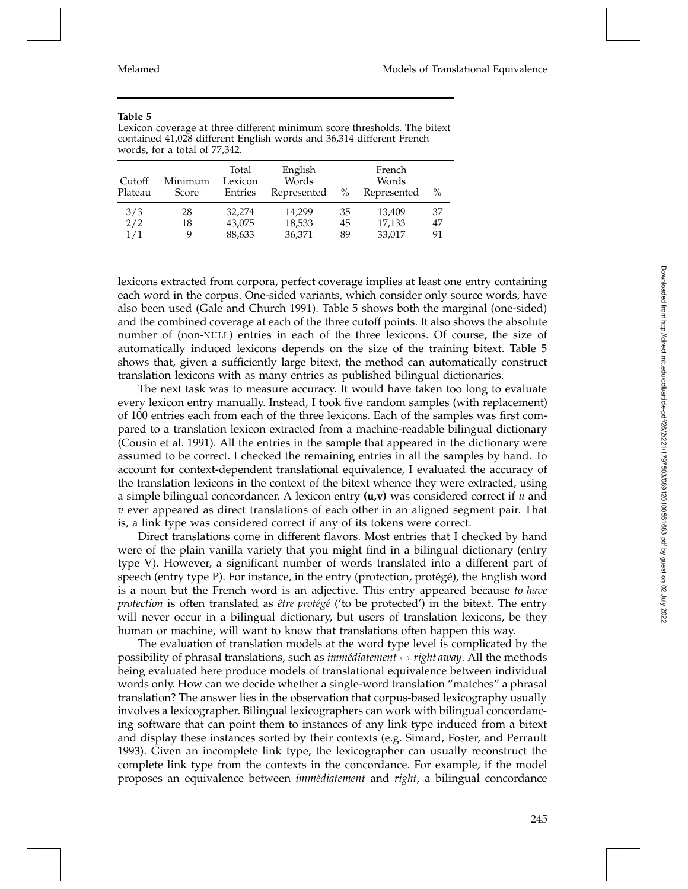|                   | $1.01$ and $1.01$ at $1.00$ and $0.1$ . $1.00$ and $1.00$ |                             |                                 |               |                                |          |
|-------------------|-----------------------------------------------------------|-----------------------------|---------------------------------|---------------|--------------------------------|----------|
| Cutoff<br>Plateau | Minimum<br>Score                                          | Total<br>Lexicon<br>Entries | English<br>Words<br>Represented | $\frac{0}{0}$ | French<br>Words<br>Represented | $\%$     |
| 3/3<br>2/2        | 28<br>18                                                  | 32.274<br>43,075            | 14.299<br>18,533                | 35<br>45      | 13,409<br>17,133               | 37<br>47 |
| 1/1               | 9                                                         | 88,633                      | 36,371                          | 89            | 33,017                         | 91       |

#### **Table 5**

Lexicon coverage at three different minimum score thresholds. The bitext contained 41,028 different English words and 36,314 different French words, for a total of 77,342.

lexicons extracted from corpora, perfect coverage implies at least one entry containing each word in the corpus. One-sided variants, which consider only source words, have also been used (Gale and Church 1991). Table 5 shows both the marginal (one-sided) and the combined coverage at each of the three cutoff points. It also shows the absolute number of (non-null) entries in each of the three lexicons. Of course, the size of automatically induced lexicons depends on the size of the training bitext. Table 5 shows that, given a sufficiently large bitext, the method can automatically construct translation lexicons with as many entries as published bilingual dictionaries.

The next task was to measure accuracy. It would have taken too long to evaluate every lexicon entry manually. Instead, I took five random samples (with replacement) of 100 entries each from each of the three lexicons. Each of the samples was first compared to a translation lexicon extracted from a machine-readable bilingual dictionary (Cousin et al. 1991). All the entries in the sample that appeared in the dictionary were assumed to be correct. I checked the remaining entries in all the samples by hand. To account for context-dependent translational equivalence, I evaluated the accuracy of the translation lexicons in the context of the bitext whence they were extracted, using a simple bilingual concordancer. A lexicon entry **(u,v)** was considered correct if *u* and *v* ever appeared as direct translations of each other in an aligned segment pair. That is, a link type was considered correct if any of its tokens were correct.

Direct translations come in different flavors. Most entries that I checked by hand were of the plain vanilla variety that you might find in a bilingual dictionary (entry type V). However, a significant number of words translated into a different part of speech (entry type P). For instance, in the entry (protection, protégé), the English word is a noun but the French word is an adjective. This entry appeared because *to have protection* is often translated as *être protégé* ('to be protected') in the bitext. The entry will never occur in a bilingual dictionary, but users of translation lexicons, be they human or machine, will want to know that translations often happen this way.

The evaluation of translation models at the word type level is complicated by the possibility of phrasal translations, such as *immédiatement*  $\leftrightarrow$  *right away*. All the methods being evaluated here produce models of translational equivalence between individual words only. How can we decide whether a single-word translation "matches" a phrasal translation? The answer lies in the observation that corpus-based lexicography usually involves a lexicographer. Bilingual lexicographers can work with bilingual concordancing software that can point them to instances of any link type induced from a bitext and display these instances sorted by their contexts (e.g. Simard, Foster, and Perrault 1993). Given an incomplete link type, the lexicographer can usually reconstruct the complete link type from the contexts in the concordance. For example, if the model proposes an equivalence between *imm´ediatement* and *right*, a bilingual concordance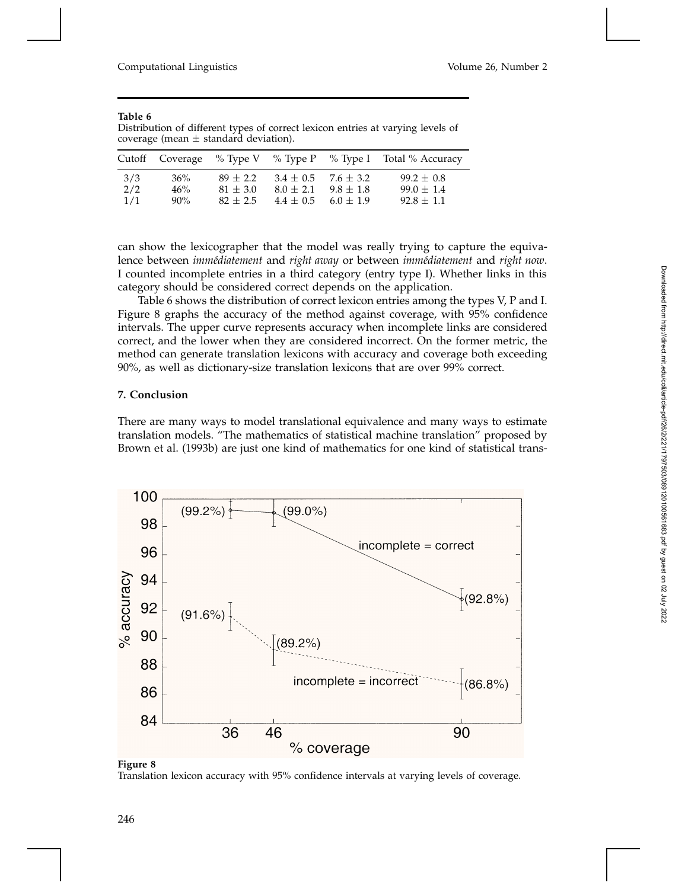| $\alpha$ coverage (filed) $\pm$ standard deviation). |               |                              |                                              |               |                                                             |
|------------------------------------------------------|---------------|------------------------------|----------------------------------------------|---------------|-------------------------------------------------------------|
|                                                      |               |                              |                                              |               | Cutoff Coverage % Type V % Type P % Type I Total % Accuracy |
| 3/3                                                  | $36\%$        | $89 \pm 2.2$                 | $3.4 \pm 0.5$ 7.6 $\pm$ 3.2                  |               | $99.2 \pm 0.8$                                              |
| 2/2<br>1/1                                           | 46%<br>$90\%$ | $81 \pm 3.0$<br>$82 \pm 2.5$ | $8.0 \pm 2.1$<br>$4.4 \pm 0.5$ $6.0 \pm 1.9$ | $9.8 \pm 1.8$ | $99.0 \pm 1.4$<br>$92.8 \pm 1.1$                            |

**Table 6** Distribution of different types of correct lexicon entries at varying levels of  $\alpha$ e (mean  $+$  standard deviation)

can show the lexicographer that the model was really trying to capture the equivalence between *immédiatement* and *right away* or between *immédiatement* and *right now*. I counted incomplete entries in a third category (entry type I). Whether links in this category should be considered correct depends on the application.

Table 6 shows the distribution of correct lexicon entries among the types V, P and I. Figure 8 graphs the accuracy of the method against coverage, with 95% confidence intervals. The upper curve represents accuracy when incomplete links are considered correct, and the lower when they are considered incorrect. On the former metric, the method can generate translation lexicons with accuracy and coverage both exceeding 90%, as well as dictionary-size translation lexicons that are over 99% correct.

# **7. Conclusion**

There are many ways to model translational equivalence and many ways to estimate translation models. "The mathematics of statistical machine translation" proposed by Brown et al. (1993b) are just one kind of mathematics for one kind of statistical trans-



**Figure 8** Translation lexicon accuracy with 95% confidence intervals at varying levels of coverage.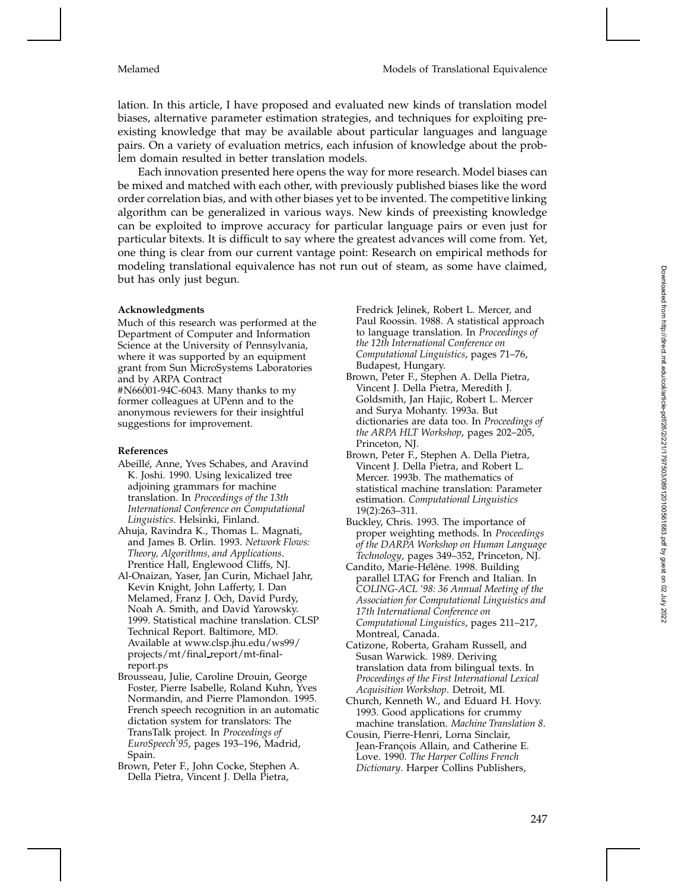lation. In this article, I have proposed and evaluated new kinds of translation model biases, alternative parameter estimation strategies, and techniques for exploiting preexisting knowledge that may be available about particular languages and language pairs. On a variety of evaluation metrics, each infusion of knowledge about the problem domain resulted in better translation models.

Each innovation presented here opens the way for more research. Model biases can be mixed and matched with each other, with previously published biases like the word order correlation bias, and with other biases yet to be invented. The competitive linking algorithm can be generalized in various ways. New kinds of preexisting knowledge can be exploited to improve accuracy for particular language pairs or even just for particular bitexts. It is difficult to say where the greatest advances will come from. Yet, one thing is clear from our current vantage point: Research on empirical methods for modeling translational equivalence has not run out of steam, as some have claimed, but has only just begun.

#### **Acknowledgments**

Much of this research was performed at the Department of Computer and Information Science at the University of Pennsylvania, where it was supported by an equipment grant from Sun MicroSystems Laboratories and by ARPA Contract #N66001-94C-6043. Many thanks to my former colleagues at UPenn and to the anonymous reviewers for their insightful suggestions for improvement.

#### **References**

- Abeillé, Anne, Yves Schabes, and Aravind K. Joshi. 1990. Using lexicalized tree adjoining grammars for machine translation. In *Proceedings of the 13th International Conference on Computational Linguistics*. Helsinki, Finland.
- Ahuja, Ravindra K., Thomas L. Magnati, and James B. Orlin. 1993. *Network Flows: Theory, Algorithms, and Applications* . Prentice Hall, Englewood Cliffs, NJ.
- Al-Onaizan, Yaser, Jan Curin, Michael Jahr, Kevin Knight, John Lafferty, I. Dan Melamed, Franz J. Och, David Purdy, Noah A. Smith, and David Yarowsky. 1999. Statistical machine translation. CLSP Technical Report. Baltimore, MD. Available at www.clsp.jhu.edu/ws99/ projects/mt/final report/mt-finalreport.ps
- Brousseau, Julie, Caroline Drouin, George Foster, Pierre Isabelle, Roland Kuhn, Yves Normandin, and Pierre Plamondon. 1995. French speech recognition in an automatic dictation system for translators: The TransTalk project. In *Proceedings of EuroSpeech'95*, pages 193–196, Madrid, Spain.
- Brown, Peter F., John Cocke, Stephen A. Della Pietra, Vincent J. Della Pietra,

Fredrick Jelinek, Robert L. Mercer, and Paul Roossin. 1988. A statistical approach to language translation. In *Proceedings of the 12th International Conference on Computational Linguistics*, pages 71–76, Budapest, Hungary.

- Brown, Peter F., Stephen A. Della Pietra, Vincent J. Della Pietra, Meredith J. Goldsmith, Jan Hajic, Robert L. Mercer and Surya Mohanty. 1993a. But dictionaries are data too. In *Proceedings of the ARPA HLT Workshop*, pages 202–205, Princeton, NJ.
- Brown, Peter F., Stephen A. Della Pietra, Vincent J. Della Pietra, and Robert L. Mercer. 1993b. The mathematics of statistical machine translation: Parameter estimation. *Computational Linguistics* 19(2):263–311.
- Buckley, Chris. 1993. The importance of proper weighting methods. In *Proceedings of the DARPA Workshop on Human Language Technology*, pages 349–352, Princeton, NJ.
- Candito, Marie-Hélène. 1998. Building parallel LTAG for French and Italian. In *COLING-ACL '98: 36 Annual Meeting of the Association for Computational Linguistics and 17th International Conference on Computational Linguistics*, pages 211–217, Montreal, Canada.
- Catizone, Roberta, Graham Russell, and Susan Warwick. 1989. Deriving translation data from bilingual texts. In *Proceedings of the First International Lexical Acquisition Workshop*. Detroit, MI.
- Church, Kenneth W., and Eduard H. Hovy. 1993. Good applications for crummy machine translation. *Machine Translation 8* .
- Cousin, Pierre-Henri, Lorna Sinclair, Jean-François Allain, and Catherine E. Love. 1990. *The Harper Collins French Dictionary*. Harper Collins Publishers,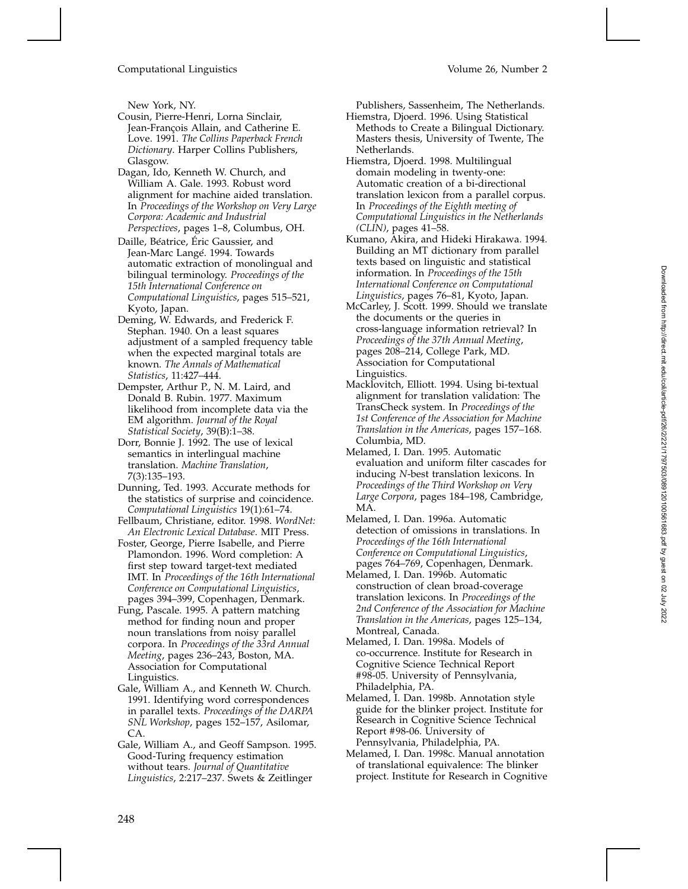New York, NY.

- Cousin, Pierre-Henri, Lorna Sinclair, Jean-François Allain, and Catherine E. Love. 1991. *The Collins Paperback French Dictionary*. Harper Collins Publishers, Glasgow.
- Dagan, Ido, Kenneth W. Church, and William A. Gale. 1993. Robust word alignment for machine aided translation. In *Proceedings of the Workshop on Very Large Corpora: Academic and Industrial Perspectives*, pages 1–8, Columbus, OH.
- Daille, Béatrice, Éric Gaussier, and Jean-Marc Langé. 1994. Towards automatic extraction of monolingual and bilingual terminology. *Proceedings of the 15th International Conference on Computational Linguistics*, pages 515–521, Kyoto, Japan.
- Deming, W. Edwards, and Frederick F. Stephan. 1940. On a least squares adjustment of a sampled frequency table when the expected marginal totals are known. *The Annals of Mathematical Statistics*, 11:427–444.
- Dempster, Arthur P., N. M. Laird, and Donald B. Rubin. 1977. Maximum likelihood from incomplete data via the EM algorithm. *Journal of the Royal Statistical Society*, 39(B):1–38.
- Dorr, Bonnie J. 1992. The use of lexical semantics in interlingual machine translation. *Machine Translation* , 7(3):135–193.
- Dunning, Ted. 1993. Accurate methods for the statistics of surprise and coincidence. *Computational Linguistics* 19(1):61–74.
- Fellbaum, Christiane, editor. 1998. *WordNet: An Electronic Lexical Database*. MIT Press.
- Foster, George, Pierre Isabelle, and Pierre Plamondon. 1996. Word completion: A first step toward target-text mediated IMT. In *Proceedings of the 16th International Conference on Computational Linguistics* , pages 394–399, Copenhagen, Denmark.
- Fung, Pascale. 1995. A pattern matching method for finding noun and proper noun translations from noisy parallel corpora. In *Proceedings of the 33rd Annual Meeting*, pages 236–243, Boston, MA. Association for Computational Linguistics.
- Gale, William A., and Kenneth W. Church. 1991. Identifying word correspondences in parallel texts. *Proceedings of the DARPA SNL Workshop*, pages 152–157, Asilomar, CA.
- Gale, William A., and Geoff Sampson. 1995. Good-Turing frequency estimation without tears. *Journal of Quantitative Linguistics*, 2:217–237. Swets & Zeitlinger

Publishers, Sassenheim, The Netherlands.

- Hiemstra, Djoerd. 1996. Using Statistical Methods to Create a Bilingual Dictionary. Masters thesis, University of Twente, The Netherlands.
- Hiemstra, Djoerd. 1998. Multilingual domain modeling in twenty-one: Automatic creation of a bi-directional translation lexicon from a parallel corpus. In *Proceedings of the Eighth meeting of Computational Linguistics in the Netherlands (CLIN)*, pages 41–58.
- Kumano, Akira, and Hideki Hirakawa. 1994. Building an MT dictionary from parallel texts based on linguistic and statistical information. In *Proceedings of the 15th International Conference on Computational Linguistics*, pages 76–81, Kyoto, Japan.
- McCarley, J. Scott. 1999. Should we translate the documents or the queries in cross-language information retrieval? In *Proceedings of the 37th Annual Meeting* , pages 208–214, College Park, MD. Association for Computational Linguistics.
- Macklovitch, Elliott. 1994. Using bi-textual alignment for translation validation: The TransCheck system. In *Proceedings of the 1st Conference of the Association for Machine Translation in the Americas*, pages 157–168. Columbia, MD.
- Melamed, I. Dan. 1995. Automatic evaluation and uniform filter cascades for inducing *N*-best translation lexicons. In *Proceedings of the Third Workshop on Very Large Corpora*, pages 184–198, Cambridge, MA.
- Melamed, I. Dan. 1996a. Automatic detection of omissions in translations. In *Proceedings of the 16th International Conference on Computational Linguistics* , pages 764–769, Copenhagen, Denmark.
- Melamed, I. Dan. 1996b. Automatic construction of clean broad-coverage translation lexicons. In *Proceedings of the 2nd Conference of the Association for Machine Translation in the Americas*, pages 125–134, Montreal, Canada.
- Melamed, I. Dan. 1998a. Models of co-occurrence. Institute for Research in Cognitive Science Technical Report #98-05. University of Pennsylvania, Philadelphia, PA.
- Melamed, I. Dan. 1998b. Annotation style guide for the blinker project. Institute for Research in Cognitive Science Technical Report #98-06. University of Pennsylvania, Philadelphia, PA.
- Melamed, I. Dan. 1998c. Manual annotation of translational equivalence: The blinker project. Institute for Research in Cognitive